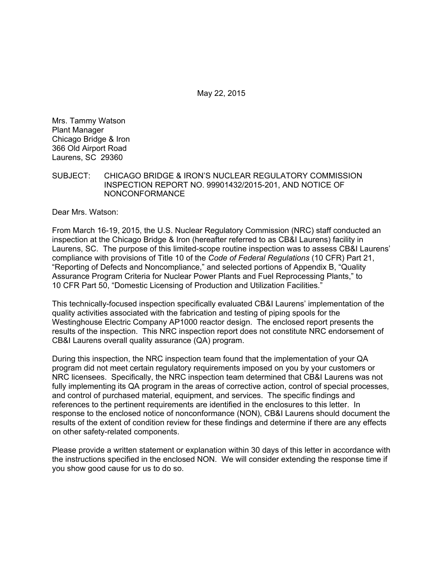May 22, 2015

Mrs. Tammy Watson Plant Manager Chicago Bridge & Iron 366 Old Airport Road Laurens, SC 29360

#### SUBJECT: CHICAGO BRIDGE & IRON'S NUCLEAR REGULATORY COMMISSION INSPECTION REPORT NO. 99901432/2015-201, AND NOTICE OF NONCONFORMANCE

Dear Mrs. Watson:

From March 16-19, 2015, the U.S. Nuclear Regulatory Commission (NRC) staff conducted an inspection at the Chicago Bridge & Iron (hereafter referred to as CB&I Laurens) facility in Laurens, SC. The purpose of this limited-scope routine inspection was to assess CB&I Laurens' compliance with provisions of Title 10 of the *Code of Federal Regulations* (10 CFR) Part 21, "Reporting of Defects and Noncompliance," and selected portions of Appendix B, "Quality Assurance Program Criteria for Nuclear Power Plants and Fuel Reprocessing Plants," to 10 CFR Part 50, "Domestic Licensing of Production and Utilization Facilities."

This technically-focused inspection specifically evaluated CB&I Laurens' implementation of the quality activities associated with the fabrication and testing of piping spools for the Westinghouse Electric Company AP1000 reactor design. The enclosed report presents the results of the inspection. This NRC inspection report does not constitute NRC endorsement of CB&I Laurens overall quality assurance (QA) program.

During this inspection, the NRC inspection team found that the implementation of your QA program did not meet certain regulatory requirements imposed on you by your customers or NRC licensees. Specifically, the NRC inspection team determined that CB&I Laurens was not fully implementing its QA program in the areas of corrective action, control of special processes, and control of purchased material, equipment, and services. The specific findings and references to the pertinent requirements are identified in the enclosures to this letter. In response to the enclosed notice of nonconformance (NON), CB&I Laurens should document the results of the extent of condition review for these findings and determine if there are any effects on other safety-related components.

Please provide a written statement or explanation within 30 days of this letter in accordance with the instructions specified in the enclosed NON. We will consider extending the response time if you show good cause for us to do so.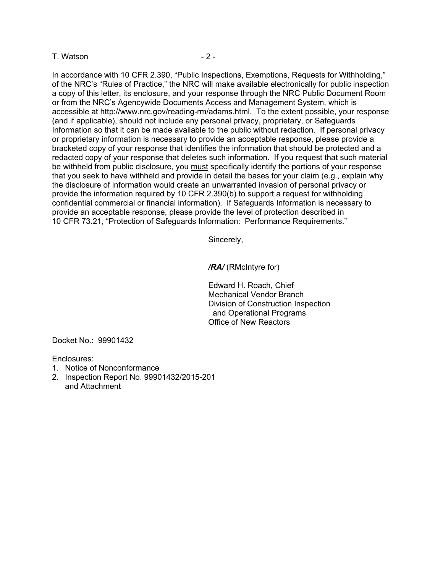#### T. Watson **Contract Contract Contract Contract Contract Contract Contract Contract Contract Contract Contract Contract Contract Contract Contract Contract Contract Contract Contract Contract Contract Contract Contract Cont**

In accordance with 10 CFR 2.390, "Public Inspections, Exemptions, Requests for Withholding," of the NRC's "Rules of Practice," the NRC will make available electronically for public inspection a copy of this letter, its enclosure, and your response through the NRC Public Document Room or from the NRC's Agencywide Documents Access and Management System, which is accessible at http://www.nrc.gov/reading-rm/adams.html. To the extent possible, your response (and if applicable), should not include any personal privacy, proprietary, or Safeguards Information so that it can be made available to the public without redaction. If personal privacy or proprietary information is necessary to provide an acceptable response, please provide a bracketed copy of your response that identifies the information that should be protected and a redacted copy of your response that deletes such information. If you request that such material be withheld from public disclosure, you must specifically identify the portions of your response that you seek to have withheld and provide in detail the bases for your claim (e.g., explain why the disclosure of information would create an unwarranted invasion of personal privacy or provide the information required by 10 CFR 2.390(b) to support a request for withholding confidential commercial or financial information). If Safeguards Information is necessary to provide an acceptable response, please provide the level of protection described in 10 CFR 73.21, "Protection of Safeguards Information: Performance Requirements."

Sincerely,

*/RA/* (RMcIntyre for)

Edward H. Roach, Chief Mechanical Vendor Branch Division of Construction Inspection and Operational Programs Office of New Reactors

Docket No.: 99901432

Enclosures:

- 1. Notice of Nonconformance
- 2. Inspection Report No. 99901432/2015-201 and Attachment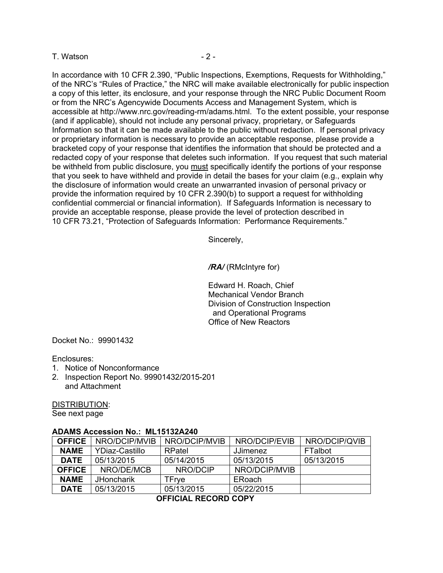#### T. Watson **Contract 2** - 2 -

In accordance with 10 CFR 2.390, "Public Inspections, Exemptions, Requests for Withholding," of the NRC's "Rules of Practice," the NRC will make available electronically for public inspection a copy of this letter, its enclosure, and your response through the NRC Public Document Room or from the NRC's Agencywide Documents Access and Management System, which is accessible at http://www.nrc.gov/reading-rm/adams.html. To the extent possible, your response (and if applicable), should not include any personal privacy, proprietary, or Safeguards Information so that it can be made available to the public without redaction. If personal privacy or proprietary information is necessary to provide an acceptable response, please provide a bracketed copy of your response that identifies the information that should be protected and a redacted copy of your response that deletes such information. If you request that such material be withheld from public disclosure, you must specifically identify the portions of your response that you seek to have withheld and provide in detail the bases for your claim (e.g., explain why the disclosure of information would create an unwarranted invasion of personal privacy or provide the information required by 10 CFR 2.390(b) to support a request for withholding confidential commercial or financial information). If Safeguards Information is necessary to provide an acceptable response, please provide the level of protection described in 10 CFR 73.21, "Protection of Safeguards Information: Performance Requirements."

Sincerely,

*/RA/* (RMcIntyre for)

Edward H. Roach, Chief Mechanical Vendor Branch Division of Construction Inspection and Operational Programs Office of New Reactors

Docket No.: 99901432

Enclosures:

- 1. Notice of Nonconformance
- 2. Inspection Report No. 99901432/2015-201 and Attachment

DISTRIBUTION:

See next page

#### **ADAMS Accession No.: ML15132A240**

| <b>OFFICE</b> | NRO/DCIP/MVIB     | NRO/DCIP/MVIB | NRO/DCIP/EVIB   | NRO/DCIP/QVIB |
|---------------|-------------------|---------------|-----------------|---------------|
| <b>NAME</b>   | YDiaz-Castillo    | RPatel        | <b>JJimenez</b> | FTalbot       |
| <b>DATE</b>   | 05/13/2015        | 05/14/2015    | 05/13/2015      | 05/13/2015    |
| <b>OFFICE</b> | NRO/DE/MCB        | NRO/DCIP      | NRO/DCIP/MVIB   |               |
| <b>NAME</b>   | <b>JHoncharik</b> | TFrve         | ERoach          |               |
| <b>DATE</b>   | 05/13/2015        | 05/13/2015    | 05/22/2015      |               |

**OFFICIAL RECORD COPY**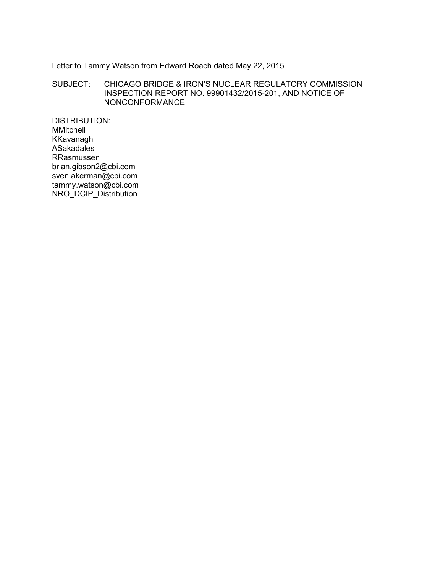Letter to Tammy Watson from Edward Roach dated May 22, 2015

SUBJECT: CHICAGO BRIDGE & IRON'S NUCLEAR REGULATORY COMMISSION INSPECTION REPORT NO. 99901432/2015-201, AND NOTICE OF NONCONFORMANCE

DISTRIBUTION: MMitchell KKavanagh ASakadales RRasmussen brian.gibson2@cbi.com sven.akerman@cbi.com tammy.watson@cbi.com NRO\_DCIP\_Distribution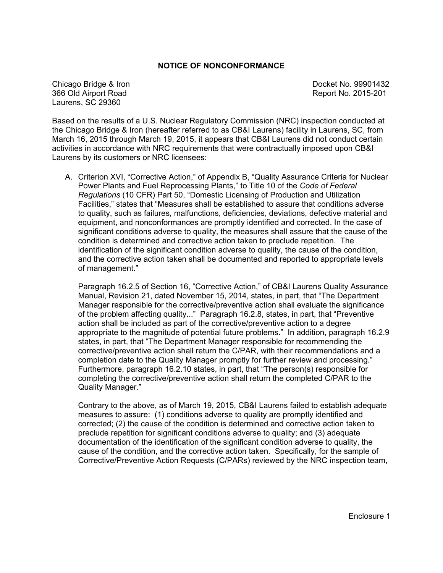#### **NOTICE OF NONCONFORMANCE**

Chicago Bridge & Iron **Docket No. 99901432** 366 Old Airport Road Report No. 2015-201 Laurens, SC 29360

Based on the results of a U.S. Nuclear Regulatory Commission (NRC) inspection conducted at the Chicago Bridge & Iron (hereafter referred to as CB&I Laurens) facility in Laurens, SC, from March 16, 2015 through March 19, 2015, it appears that CB&I Laurens did not conduct certain activities in accordance with NRC requirements that were contractually imposed upon CB&I Laurens by its customers or NRC licensees:

A. Criterion XVI, "Corrective Action," of Appendix B, "Quality Assurance Criteria for Nuclear Power Plants and Fuel Reprocessing Plants," to Title 10 of the *Code of Federal Regulations* (10 CFR) Part 50, "Domestic Licensing of Production and Utilization Facilities," states that "Measures shall be established to assure that conditions adverse to quality, such as failures, malfunctions, deficiencies, deviations, defective material and equipment, and nonconformances are promptly identified and corrected. In the case of significant conditions adverse to quality, the measures shall assure that the cause of the condition is determined and corrective action taken to preclude repetition. The identification of the significant condition adverse to quality, the cause of the condition, and the corrective action taken shall be documented and reported to appropriate levels of management."

Paragraph 16.2.5 of Section 16, "Corrective Action," of CB&I Laurens Quality Assurance Manual, Revision 21, dated November 15, 2014, states, in part, that "The Department Manager responsible for the corrective/preventive action shall evaluate the significance of the problem affecting quality..." Paragraph 16.2.8, states, in part, that "Preventive action shall be included as part of the corrective/preventive action to a degree appropriate to the magnitude of potential future problems." In addition, paragraph 16.2.9 states, in part, that "The Department Manager responsible for recommending the corrective/preventive action shall return the C/PAR, with their recommendations and a completion date to the Quality Manager promptly for further review and processing." Furthermore, paragraph 16.2.10 states, in part, that "The person(s) responsible for completing the corrective/preventive action shall return the completed C/PAR to the Quality Manager."

Contrary to the above, as of March 19, 2015, CB&I Laurens failed to establish adequate measures to assure: (1) conditions adverse to quality are promptly identified and corrected; (2) the cause of the condition is determined and corrective action taken to preclude repetition for significant conditions adverse to quality; and (3) adequate documentation of the identification of the significant condition adverse to quality, the cause of the condition, and the corrective action taken. Specifically, for the sample of Corrective/Preventive Action Requests (C/PARs) reviewed by the NRC inspection team,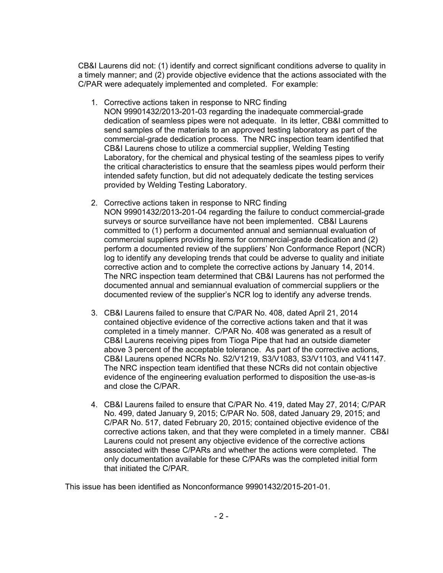CB&I Laurens did not: (1) identify and correct significant conditions adverse to quality in a timely manner; and (2) provide objective evidence that the actions associated with the C/PAR were adequately implemented and completed. For example:

- 1. Corrective actions taken in response to NRC finding NON 99901432/2013-201-03 regarding the inadequate commercial-grade dedication of seamless pipes were not adequate. In its letter, CB&I committed to send samples of the materials to an approved testing laboratory as part of the commercial-grade dedication process. The NRC inspection team identified that CB&I Laurens chose to utilize a commercial supplier, Welding Testing Laboratory, for the chemical and physical testing of the seamless pipes to verify the critical characteristics to ensure that the seamless pipes would perform their intended safety function, but did not adequately dedicate the testing services provided by Welding Testing Laboratory.
- 2. Corrective actions taken in response to NRC finding NON 99901432/2013-201-04 regarding the failure to conduct commercial-grade surveys or source surveillance have not been implemented. CB&I Laurens committed to (1) perform a documented annual and semiannual evaluation of commercial suppliers providing items for commercial-grade dedication and (2) perform a documented review of the suppliers' Non Conformance Report (NCR) log to identify any developing trends that could be adverse to quality and initiate corrective action and to complete the corrective actions by January 14, 2014. The NRC inspection team determined that CB&I Laurens has not performed the documented annual and semiannual evaluation of commercial suppliers or the documented review of the supplier's NCR log to identify any adverse trends.
- 3. CB&I Laurens failed to ensure that C/PAR No. 408, dated April 21, 2014 contained objective evidence of the corrective actions taken and that it was completed in a timely manner. C/PAR No. 408 was generated as a result of CB&I Laurens receiving pipes from Tioga Pipe that had an outside diameter above 3 percent of the acceptable tolerance. As part of the corrective actions, CB&I Laurens opened NCRs No. S2/V1219, S3/V1083, S3/V1103, and V41147. The NRC inspection team identified that these NCRs did not contain objective evidence of the engineering evaluation performed to disposition the use-as-is and close the C/PAR.
- 4. CB&I Laurens failed to ensure that C/PAR No. 419, dated May 27, 2014; C/PAR No. 499, dated January 9, 2015; C/PAR No. 508, dated January 29, 2015; and C/PAR No. 517, dated February 20, 2015; contained objective evidence of the corrective actions taken, and that they were completed in a timely manner. CB&I Laurens could not present any objective evidence of the corrective actions associated with these C/PARs and whether the actions were completed. The only documentation available for these C/PARs was the completed initial form that initiated the C/PAR.

This issue has been identified as Nonconformance 99901432/2015-201-01.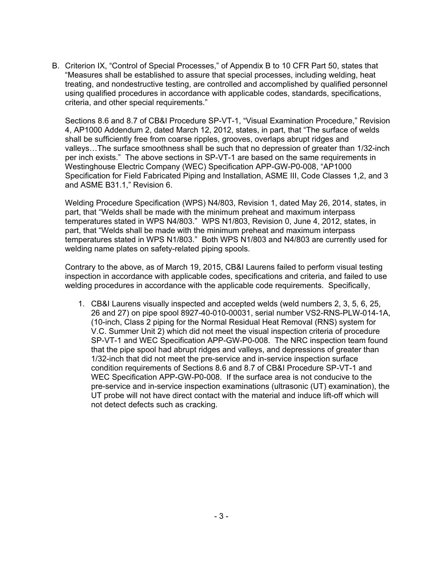B. Criterion IX, "Control of Special Processes," of Appendix B to 10 CFR Part 50, states that "Measures shall be established to assure that special processes, including welding, heat treating, and nondestructive testing, are controlled and accomplished by qualified personnel using qualified procedures in accordance with applicable codes, standards, specifications, criteria, and other special requirements."

Sections 8.6 and 8.7 of CB&I Procedure SP-VT-1, "Visual Examination Procedure," Revision 4, AP1000 Addendum 2, dated March 12, 2012, states, in part, that "The surface of welds shall be sufficiently free from coarse ripples, grooves, overlaps abrupt ridges and valleys…The surface smoothness shall be such that no depression of greater than 1/32-inch per inch exists." The above sections in SP-VT-1 are based on the same requirements in Westinghouse Electric Company (WEC) Specification APP-GW-P0-008, "AP1000 Specification for Field Fabricated Piping and Installation, ASME III, Code Classes 1,2, and 3 and ASME B31.1," Revision 6.

Welding Procedure Specification (WPS) N4/803, Revision 1, dated May 26, 2014, states, in part, that "Welds shall be made with the minimum preheat and maximum interpass temperatures stated in WPS N4/803." WPS N1/803, Revision 0, June 4, 2012, states, in part, that "Welds shall be made with the minimum preheat and maximum interpass temperatures stated in WPS N1/803." Both WPS N1/803 and N4/803 are currently used for welding name plates on safety-related piping spools.

Contrary to the above, as of March 19, 2015, CB&I Laurens failed to perform visual testing inspection in accordance with applicable codes, specifications and criteria, and failed to use welding procedures in accordance with the applicable code requirements. Specifically,

1. CB&I Laurens visually inspected and accepted welds (weld numbers 2, 3, 5, 6, 25, 26 and 27) on pipe spool 8927-40-010-00031, serial number VS2-RNS-PLW-014-1A, (10-inch, Class 2 piping for the Normal Residual Heat Removal (RNS) system for V.C. Summer Unit 2) which did not meet the visual inspection criteria of procedure SP-VT-1 and WEC Specification APP-GW-P0-008. The NRC inspection team found that the pipe spool had abrupt ridges and valleys, and depressions of greater than 1/32-inch that did not meet the pre-service and in-service inspection surface condition requirements of Sections 8.6 and 8.7 of CB&I Procedure SP-VT-1 and WEC Specification APP-GW-P0-008. If the surface area is not conducive to the pre-service and in-service inspection examinations (ultrasonic (UT) examination), the UT probe will not have direct contact with the material and induce lift-off which will not detect defects such as cracking.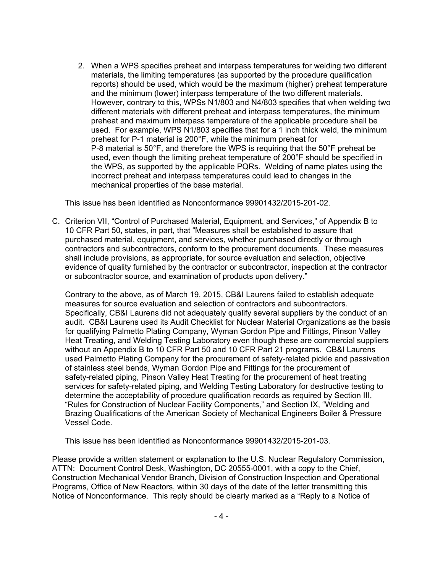2. When a WPS specifies preheat and interpass temperatures for welding two different materials, the limiting temperatures (as supported by the procedure qualification reports) should be used, which would be the maximum (higher) preheat temperature and the minimum (lower) interpass temperature of the two different materials. However, contrary to this, WPSs N1/803 and N4/803 specifies that when welding two different materials with different preheat and interpass temperatures, the minimum preheat and maximum interpass temperature of the applicable procedure shall be used. For example, WPS N1/803 specifies that for a 1 inch thick weld, the minimum preheat for P-1 material is 200°F, while the minimum preheat for P-8 material is 50°F, and therefore the WPS is requiring that the 50°F preheat be used, even though the limiting preheat temperature of 200°F should be specified in the WPS, as supported by the applicable PQRs. Welding of name plates using the incorrect preheat and interpass temperatures could lead to changes in the mechanical properties of the base material.

This issue has been identified as Nonconformance 99901432/2015-201-02.

C. Criterion VII, "Control of Purchased Material, Equipment, and Services," of Appendix B to 10 CFR Part 50, states, in part, that "Measures shall be established to assure that purchased material, equipment, and services, whether purchased directly or through contractors and subcontractors, conform to the procurement documents. These measures shall include provisions, as appropriate, for source evaluation and selection, objective evidence of quality furnished by the contractor or subcontractor, inspection at the contractor or subcontractor source, and examination of products upon delivery."

Contrary to the above, as of March 19, 2015, CB&I Laurens failed to establish adequate measures for source evaluation and selection of contractors and subcontractors. Specifically, CB&I Laurens did not adequately qualify several suppliers by the conduct of an audit. CB&I Laurens used its Audit Checklist for Nuclear Material Organizations as the basis for qualifying Palmetto Plating Company, Wyman Gordon Pipe and Fittings, Pinson Valley Heat Treating, and Welding Testing Laboratory even though these are commercial suppliers without an Appendix B to 10 CFR Part 50 and 10 CFR Part 21 programs. CB&I Laurens used Palmetto Plating Company for the procurement of safety-related pickle and passivation of stainless steel bends, Wyman Gordon Pipe and Fittings for the procurement of safety-related piping, Pinson Valley Heat Treating for the procurement of heat treating services for safety-related piping, and Welding Testing Laboratory for destructive testing to determine the acceptability of procedure qualification records as required by Section III, "Rules for Construction of Nuclear Facility Components," and Section IX, "Welding and Brazing Qualifications of the American Society of Mechanical Engineers Boiler & Pressure Vessel Code.

This issue has been identified as Nonconformance 99901432/2015-201-03.

Please provide a written statement or explanation to the U.S. Nuclear Regulatory Commission, ATTN: Document Control Desk, Washington, DC 20555-0001, with a copy to the Chief, Construction Mechanical Vendor Branch, Division of Construction Inspection and Operational Programs, Office of New Reactors, within 30 days of the date of the letter transmitting this Notice of Nonconformance. This reply should be clearly marked as a "Reply to a Notice of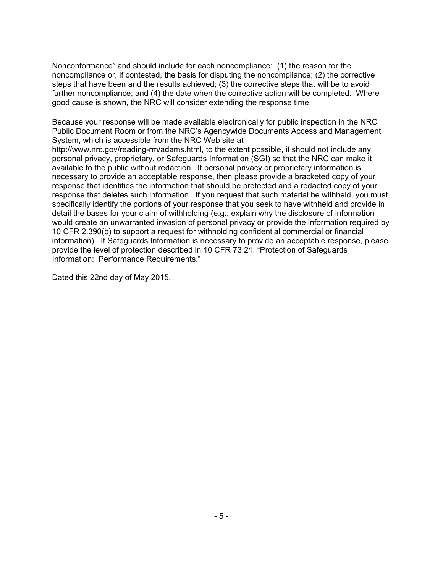Nonconformance" and should include for each noncompliance: (1) the reason for the noncompliance or, if contested, the basis for disputing the noncompliance; (2) the corrective steps that have been and the results achieved; (3) the corrective steps that will be to avoid further noncompliance; and (4) the date when the corrective action will be completed. Where good cause is shown, the NRC will consider extending the response time.

Because your response will be made available electronically for public inspection in the NRC Public Document Room or from the NRC's Agencywide Documents Access and Management System, which is accessible from the NRC Web site at

http://www.nrc.gov/reading-rm/adams.html, to the extent possible, it should not include any personal privacy, proprietary, or Safeguards Information (SGI) so that the NRC can make it available to the public without redaction. If personal privacy or proprietary information is necessary to provide an acceptable response, then please provide a bracketed copy of your response that identifies the information that should be protected and a redacted copy of your response that deletes such information. If you request that such material be withheld, you must specifically identify the portions of your response that you seek to have withheld and provide in detail the bases for your claim of withholding (e.g., explain why the disclosure of information would create an unwarranted invasion of personal privacy or provide the information required by 10 CFR 2.390(b) to support a request for withholding confidential commercial or financial information). If Safeguards Information is necessary to provide an acceptable response, please provide the level of protection described in 10 CFR 73.21, "Protection of Safeguards Information: Performance Requirements."

Dated this 22nd day of May 2015.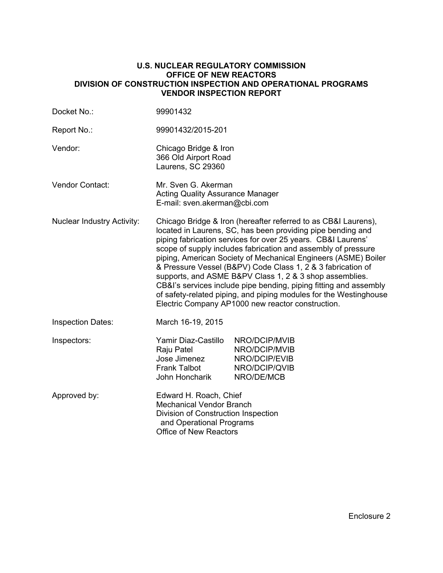#### **U.S. NUCLEAR REGULATORY COMMISSION OFFICE OF NEW REACTORS DIVISION OF CONSTRUCTION INSPECTION AND OPERATIONAL PROGRAMS VENDOR INSPECTION REPORT**

| Docket No.:                       | 99901432                                                                                                                                                                                                                                                                                                                                                                                                                                                                                                                                                                                                                                                  |                                                                                |  |  |
|-----------------------------------|-----------------------------------------------------------------------------------------------------------------------------------------------------------------------------------------------------------------------------------------------------------------------------------------------------------------------------------------------------------------------------------------------------------------------------------------------------------------------------------------------------------------------------------------------------------------------------------------------------------------------------------------------------------|--------------------------------------------------------------------------------|--|--|
| Report No.:                       | 99901432/2015-201                                                                                                                                                                                                                                                                                                                                                                                                                                                                                                                                                                                                                                         |                                                                                |  |  |
| Vendor:                           | Chicago Bridge & Iron<br>366 Old Airport Road<br>Laurens, SC 29360                                                                                                                                                                                                                                                                                                                                                                                                                                                                                                                                                                                        |                                                                                |  |  |
| <b>Vendor Contact:</b>            | Mr. Sven G. Akerman<br><b>Acting Quality Assurance Manager</b><br>E-mail: sven.akerman@cbi.com                                                                                                                                                                                                                                                                                                                                                                                                                                                                                                                                                            |                                                                                |  |  |
| <b>Nuclear Industry Activity:</b> | Chicago Bridge & Iron (hereafter referred to as CB&I Laurens),<br>located in Laurens, SC, has been providing pipe bending and<br>piping fabrication services for over 25 years. CB&I Laurens'<br>scope of supply includes fabrication and assembly of pressure<br>piping, American Society of Mechanical Engineers (ASME) Boiler<br>& Pressure Vessel (B&PV) Code Class 1, 2 & 3 fabrication of<br>supports, and ASME B&PV Class 1, 2 & 3 shop assemblies.<br>CB&I's services include pipe bending, piping fitting and assembly<br>of safety-related piping, and piping modules for the Westinghouse<br>Electric Company AP1000 new reactor construction. |                                                                                |  |  |
| <b>Inspection Dates:</b>          | March 16-19, 2015                                                                                                                                                                                                                                                                                                                                                                                                                                                                                                                                                                                                                                         |                                                                                |  |  |
| Inspectors:                       | Yamir Diaz-Castillo<br>Raju Patel<br>Jose Jimenez<br><b>Frank Talbot</b><br>John Honcharik                                                                                                                                                                                                                                                                                                                                                                                                                                                                                                                                                                | NRO/DCIP/MVIB<br>NRO/DCIP/MVIB<br>NRO/DCIP/EVIB<br>NRO/DCIP/QVIB<br>NRO/DE/MCB |  |  |
| Approved by:                      | Edward H. Roach, Chief<br><b>Mechanical Vendor Branch</b><br>Division of Construction Inspection<br>and Operational Programs<br><b>Office of New Reactors</b>                                                                                                                                                                                                                                                                                                                                                                                                                                                                                             |                                                                                |  |  |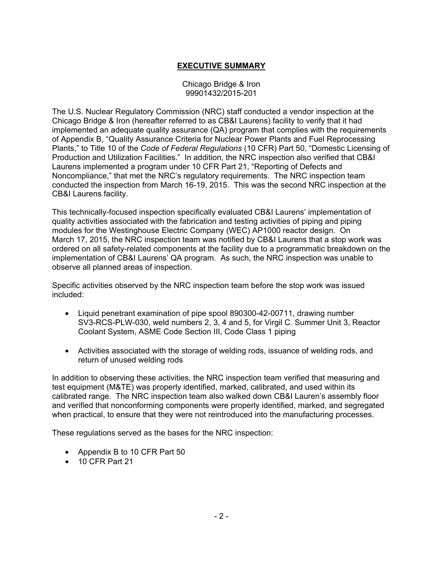# **EXECUTIVE SUMMARY**

#### Chicago Bridge & Iron 99901432/2015-201

The U.S. Nuclear Regulatory Commission (NRC) staff conducted a vendor inspection at the Chicago Bridge & Iron (hereafter referred to as CB&I Laurens) facility to verify that it had implemented an adequate quality assurance (QA) program that complies with the requirements of Appendix B, "Quality Assurance Criteria for Nuclear Power Plants and Fuel Reprocessing Plants," to Title 10 of the *Code of Federal Regulations* (10 CFR) Part 50, "Domestic Licensing of Production and Utilization Facilities." In addition, the NRC inspection also verified that CB&I Laurens implemented a program under 10 CFR Part 21, "Reporting of Defects and Noncompliance," that met the NRC's regulatory requirements. The NRC inspection team conducted the inspection from March 16-19, 2015. This was the second NRC inspection at the CB&I Laurens facility.

This technically-focused inspection specifically evaluated CB&I Laurens' implementation of quality activities associated with the fabrication and testing activities of piping and piping modules for the Westinghouse Electric Company (WEC) AP1000 reactor design. On March 17, 2015, the NRC inspection team was notified by CB&I Laurens that a stop work was ordered on all safety-related components at the facility due to a programmatic breakdown on the implementation of CB&I Laurens' QA program. As such, the NRC inspection was unable to observe all planned areas of inspection.

Specific activities observed by the NRC inspection team before the stop work was issued included:

- Liquid penetrant examination of pipe spool 890300-42-00711, drawing number SV3-RCS-PLW-030, weld numbers 2, 3, 4 and 5, for Virgil C. Summer Unit 3, Reactor Coolant System, ASME Code Section III, Code Class 1 piping
- Activities associated with the storage of welding rods, issuance of welding rods, and return of unused welding rods

In addition to observing these activities, the NRC inspection team verified that measuring and test equipment (M&TE) was properly identified, marked, calibrated, and used within its calibrated range. The NRC inspection team also walked down CB&I Lauren's assembly floor and verified that nonconforming components were properly identified, marked, and segregated when practical, to ensure that they were not reintroduced into the manufacturing processes.

These regulations served as the bases for the NRC inspection:

- Appendix B to 10 CFR Part 50
- 10 CFR Part 21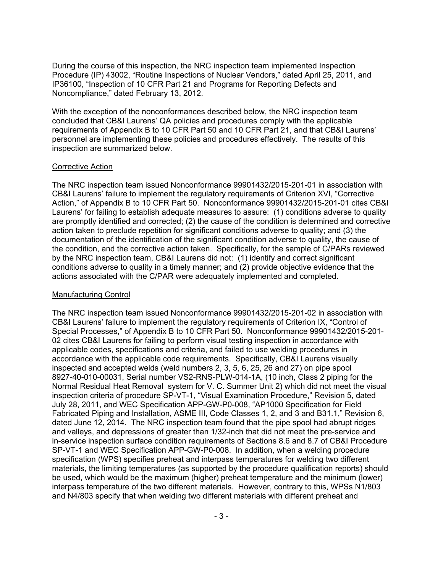During the course of this inspection, the NRC inspection team implemented Inspection Procedure (IP) 43002, "Routine Inspections of Nuclear Vendors," dated April 25, 2011, and IP36100, "Inspection of 10 CFR Part 21 and Programs for Reporting Defects and Noncompliance," dated February 13, 2012.

With the exception of the nonconformances described below, the NRC inspection team concluded that CB&I Laurens' QA policies and procedures comply with the applicable requirements of Appendix B to 10 CFR Part 50 and 10 CFR Part 21, and that CB&I Laurens' personnel are implementing these policies and procedures effectively. The results of this inspection are summarized below.

## Corrective Action

The NRC inspection team issued Nonconformance 99901432/2015-201-01 in association with CB&I Laurens' failure to implement the regulatory requirements of Criterion XVI, "Corrective Action," of Appendix B to 10 CFR Part 50. Nonconformance 99901432/2015-201-01 cites CB&I Laurens' for failing to establish adequate measures to assure: (1) conditions adverse to quality are promptly identified and corrected; (2) the cause of the condition is determined and corrective action taken to preclude repetition for significant conditions adverse to quality; and (3) the documentation of the identification of the significant condition adverse to quality, the cause of the condition, and the corrective action taken. Specifically, for the sample of C/PARs reviewed by the NRC inspection team, CB&I Laurens did not: (1) identify and correct significant conditions adverse to quality in a timely manner; and (2) provide objective evidence that the actions associated with the C/PAR were adequately implemented and completed.

# Manufacturing Control

The NRC inspection team issued Nonconformance 99901432/2015-201-02 in association with CB&I Laurens' failure to implement the regulatory requirements of Criterion IX, "Control of Special Processes," of Appendix B to 10 CFR Part 50. Nonconformance 99901432/2015-201- 02 cites CB&I Laurens for failing to perform visual testing inspection in accordance with applicable codes, specifications and criteria, and failed to use welding procedures in accordance with the applicable code requirements. Specifically, CB&I Laurens visually inspected and accepted welds (weld numbers 2, 3, 5, 6, 25, 26 and 27) on pipe spool 8927-40-010-00031, Serial number VS2-RNS-PLW-014-1A, (10 inch, Class 2 piping for the Normal Residual Heat Removal system for V. C. Summer Unit 2) which did not meet the visual inspection criteria of procedure SP-VT-1, "Visual Examination Procedure," Revision 5, dated July 28, 2011, and WEC Specification APP-GW-P0-008, "AP1000 Specification for Field Fabricated Piping and Installation, ASME III, Code Classes 1, 2, and 3 and B31.1," Revision 6, dated June 12, 2014. The NRC inspection team found that the pipe spool had abrupt ridges and valleys, and depressions of greater than 1/32-inch that did not meet the pre-service and in-service inspection surface condition requirements of Sections 8.6 and 8.7 of CB&I Procedure SP-VT-1 and WEC Specification APP-GW-P0-008. In addition, when a welding procedure specification (WPS) specifies preheat and interpass temperatures for welding two different materials, the limiting temperatures (as supported by the procedure qualification reports) should be used, which would be the maximum (higher) preheat temperature and the minimum (lower) interpass temperature of the two different materials. However, contrary to this, WPSs N1/803 and N4/803 specify that when welding two different materials with different preheat and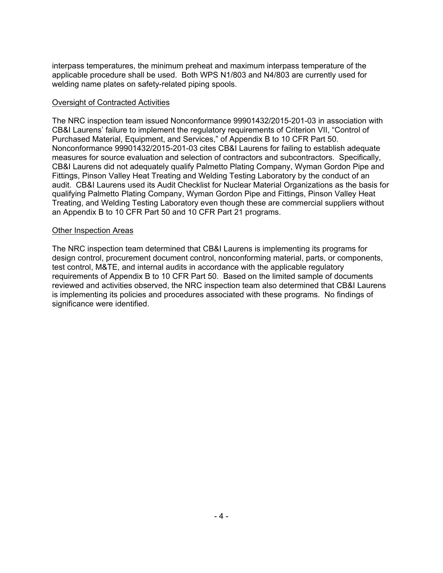interpass temperatures, the minimum preheat and maximum interpass temperature of the applicable procedure shall be used. Both WPS N1/803 and N4/803 are currently used for welding name plates on safety-related piping spools.

#### Oversight of Contracted Activities

The NRC inspection team issued Nonconformance 99901432/2015-201-03 in association with CB&I Laurens' failure to implement the regulatory requirements of Criterion VII, "Control of Purchased Material, Equipment, and Services," of Appendix B to 10 CFR Part 50. Nonconformance 99901432/2015-201-03 cites CB&I Laurens for failing to establish adequate measures for source evaluation and selection of contractors and subcontractors. Specifically, CB&I Laurens did not adequately qualify Palmetto Plating Company, Wyman Gordon Pipe and Fittings, Pinson Valley Heat Treating and Welding Testing Laboratory by the conduct of an audit. CB&I Laurens used its Audit Checklist for Nuclear Material Organizations as the basis for qualifying Palmetto Plating Company, Wyman Gordon Pipe and Fittings, Pinson Valley Heat Treating, and Welding Testing Laboratory even though these are commercial suppliers without an Appendix B to 10 CFR Part 50 and 10 CFR Part 21 programs.

#### Other Inspection Areas

The NRC inspection team determined that CB&I Laurens is implementing its programs for design control, procurement document control, nonconforming material, parts, or components, test control, M&TE, and internal audits in accordance with the applicable regulatory requirements of Appendix B to 10 CFR Part 50. Based on the limited sample of documents reviewed and activities observed, the NRC inspection team also determined that CB&I Laurens is implementing its policies and procedures associated with these programs. No findings of significance were identified.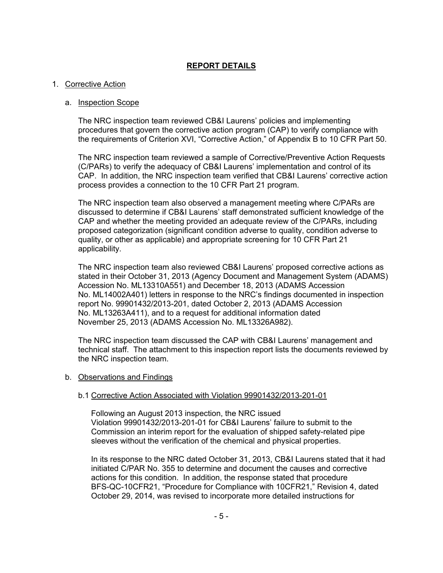## **REPORT DETAILS**

#### 1. Corrective Action

#### a. Inspection Scope

The NRC inspection team reviewed CB&I Laurens' policies and implementing procedures that govern the corrective action program (CAP) to verify compliance with the requirements of Criterion XVI, "Corrective Action," of Appendix B to 10 CFR Part 50.

The NRC inspection team reviewed a sample of Corrective/Preventive Action Requests (C/PARs) to verify the adequacy of CB&I Laurens' implementation and control of its CAP. In addition, the NRC inspection team verified that CB&I Laurens' corrective action process provides a connection to the 10 CFR Part 21 program.

The NRC inspection team also observed a management meeting where C/PARs are discussed to determine if CB&I Laurens' staff demonstrated sufficient knowledge of the CAP and whether the meeting provided an adequate review of the C/PARs, including proposed categorization (significant condition adverse to quality, condition adverse to quality, or other as applicable) and appropriate screening for 10 CFR Part 21 applicability.

The NRC inspection team also reviewed CB&I Laurens' proposed corrective actions as stated in their October 31, 2013 (Agency Document and Management System (ADAMS) Accession No. ML13310A551) and December 18, 2013 (ADAMS Accession No. ML14002A401) letters in response to the NRC's findings documented in inspection report No. 99901432/2013-201, dated October 2, 2013 (ADAMS Accession No. ML13263A411), and to a request for additional information dated November 25, 2013 (ADAMS Accession No. ML13326A982).

The NRC inspection team discussed the CAP with CB&I Laurens' management and technical staff. The attachment to this inspection report lists the documents reviewed by the NRC inspection team.

#### b. Observations and Findings

## b.1 Corrective Action Associated with Violation 99901432/2013-201-01

Following an August 2013 inspection, the NRC issued Violation 99901432/2013-201-01 for CB&I Laurens' failure to submit to the Commission an interim report for the evaluation of shipped safety-related pipe sleeves without the verification of the chemical and physical properties.

In its response to the NRC dated October 31, 2013, CB&I Laurens stated that it had initiated C/PAR No. 355 to determine and document the causes and corrective actions for this condition. In addition, the response stated that procedure BFS-QC-10CFR21, "Procedure for Compliance with 10CFR21," Revision 4, dated October 29, 2014, was revised to incorporate more detailed instructions for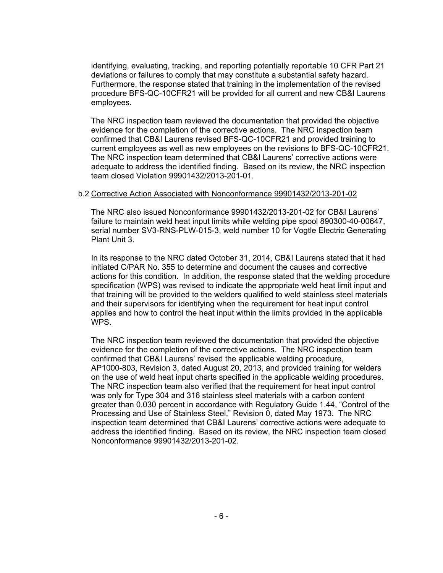identifying, evaluating, tracking, and reporting potentially reportable 10 CFR Part 21 deviations or failures to comply that may constitute a substantial safety hazard. Furthermore, the response stated that training in the implementation of the revised procedure BFS-QC-10CFR21 will be provided for all current and new CB&I Laurens employees.

The NRC inspection team reviewed the documentation that provided the objective evidence for the completion of the corrective actions. The NRC inspection team confirmed that CB&I Laurens revised BFS-QC-10CFR21 and provided training to current employees as well as new employees on the revisions to BFS-QC-10CFR21. The NRC inspection team determined that CB&I Laurens' corrective actions were adequate to address the identified finding. Based on its review, the NRC inspection team closed Violation 99901432/2013-201-01.

#### b.2 Corrective Action Associated with Nonconformance 99901432/2013-201-02

The NRC also issued Nonconformance 99901432/2013-201-02 for CB&I Laurens' failure to maintain weld heat input limits while welding pipe spool 890300-40-00647, serial number SV3-RNS-PLW-015-3, weld number 10 for Vogtle Electric Generating Plant Unit 3.

In its response to the NRC dated October 31, 2014, CB&I Laurens stated that it had initiated C/PAR No. 355 to determine and document the causes and corrective actions for this condition. In addition, the response stated that the welding procedure specification (WPS) was revised to indicate the appropriate weld heat limit input and that training will be provided to the welders qualified to weld stainless steel materials and their supervisors for identifying when the requirement for heat input control applies and how to control the heat input within the limits provided in the applicable WPS.

The NRC inspection team reviewed the documentation that provided the objective evidence for the completion of the corrective actions. The NRC inspection team confirmed that CB&I Laurens' revised the applicable welding procedure, AP1000-803, Revision 3, dated August 20, 2013, and provided training for welders on the use of weld heat input charts specified in the applicable welding procedures. The NRC inspection team also verified that the requirement for heat input control was only for Type 304 and 316 stainless steel materials with a carbon content greater than 0.030 percent in accordance with Regulatory Guide 1.44, "Control of the Processing and Use of Stainless Steel," Revision 0, dated May 1973. The NRC inspection team determined that CB&I Laurens' corrective actions were adequate to address the identified finding. Based on its review, the NRC inspection team closed Nonconformance 99901432/2013-201-02.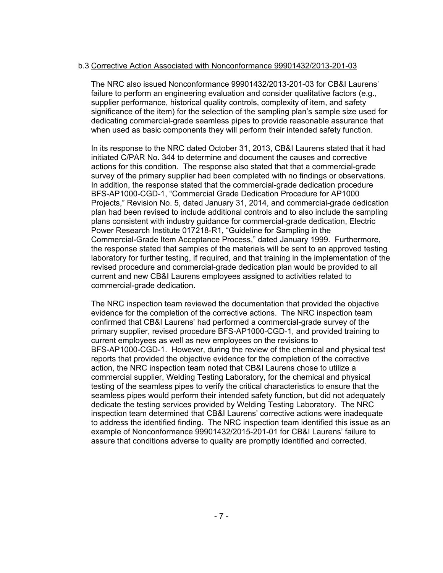### b.3 Corrective Action Associated with Nonconformance 99901432/2013-201-03

The NRC also issued Nonconformance 99901432/2013-201-03 for CB&I Laurens' failure to perform an engineering evaluation and consider qualitative factors (e.g., supplier performance, historical quality controls, complexity of item, and safety significance of the item) for the selection of the sampling plan's sample size used for dedicating commercial-grade seamless pipes to provide reasonable assurance that when used as basic components they will perform their intended safety function.

In its response to the NRC dated October 31, 2013, CB&I Laurens stated that it had initiated C/PAR No. 344 to determine and document the causes and corrective actions for this condition. The response also stated that that a commercial-grade survey of the primary supplier had been completed with no findings or observations. In addition, the response stated that the commercial-grade dedication procedure BFS-AP1000-CGD-1, "Commercial Grade Dedication Procedure for AP1000 Projects," Revision No. 5, dated January 31, 2014, and commercial-grade dedication plan had been revised to include additional controls and to also include the sampling plans consistent with industry guidance for commercial-grade dedication, Electric Power Research Institute 017218-R1, "Guideline for Sampling in the Commercial-Grade Item Acceptance Process," dated January 1999. Furthermore, the response stated that samples of the materials will be sent to an approved testing laboratory for further testing, if required, and that training in the implementation of the revised procedure and commercial-grade dedication plan would be provided to all current and new CB&I Laurens employees assigned to activities related to commercial-grade dedication.

The NRC inspection team reviewed the documentation that provided the objective evidence for the completion of the corrective actions. The NRC inspection team confirmed that CB&I Laurens' had performed a commercial-grade survey of the primary supplier, revised procedure BFS-AP1000-CGD-1, and provided training to current employees as well as new employees on the revisions to BFS-AP1000-CGD-1. However, during the review of the chemical and physical test reports that provided the objective evidence for the completion of the corrective action, the NRC inspection team noted that CB&I Laurens chose to utilize a commercial supplier, Welding Testing Laboratory, for the chemical and physical testing of the seamless pipes to verify the critical characteristics to ensure that the seamless pipes would perform their intended safety function, but did not adequately dedicate the testing services provided by Welding Testing Laboratory. The NRC inspection team determined that CB&I Laurens' corrective actions were inadequate to address the identified finding. The NRC inspection team identified this issue as an example of Nonconformance 99901432/2015-201-01 for CB&I Laurens' failure to assure that conditions adverse to quality are promptly identified and corrected.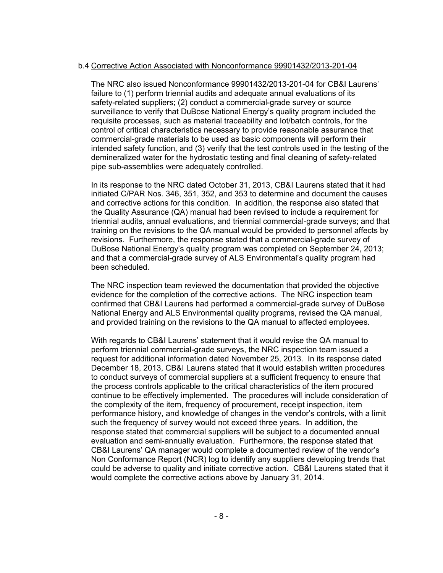#### b.4 Corrective Action Associated with Nonconformance 99901432/2013-201-04

The NRC also issued Nonconformance 99901432/2013-201-04 for CB&I Laurens' failure to (1) perform triennial audits and adequate annual evaluations of its safety-related suppliers; (2) conduct a commercial-grade survey or source surveillance to verify that DuBose National Energy's quality program included the requisite processes, such as material traceability and lot/batch controls, for the control of critical characteristics necessary to provide reasonable assurance that commercial-grade materials to be used as basic components will perform their intended safety function, and (3) verify that the test controls used in the testing of the demineralized water for the hydrostatic testing and final cleaning of safety-related pipe sub-assemblies were adequately controlled.

In its response to the NRC dated October 31, 2013, CB&I Laurens stated that it had initiated C/PAR Nos. 346, 351, 352, and 353 to determine and document the causes and corrective actions for this condition. In addition, the response also stated that the Quality Assurance (QA) manual had been revised to include a requirement for triennial audits, annual evaluations, and triennial commercial-grade surveys; and that training on the revisions to the QA manual would be provided to personnel affects by revisions. Furthermore, the response stated that a commercial-grade survey of DuBose National Energy's quality program was completed on September 24, 2013; and that a commercial-grade survey of ALS Environmental's quality program had been scheduled.

The NRC inspection team reviewed the documentation that provided the objective evidence for the completion of the corrective actions. The NRC inspection team confirmed that CB&I Laurens had performed a commercial-grade survey of DuBose National Energy and ALS Environmental quality programs, revised the QA manual, and provided training on the revisions to the QA manual to affected employees.

With regards to CB&I Laurens' statement that it would revise the QA manual to perform triennial commercial-grade surveys, the NRC inspection team issued a request for additional information dated November 25, 2013. In its response dated December 18, 2013, CB&I Laurens stated that it would establish written procedures to conduct surveys of commercial suppliers at a sufficient frequency to ensure that the process controls applicable to the critical characteristics of the item procured continue to be effectively implemented. The procedures will include consideration of the complexity of the item, frequency of procurement, receipt inspection, item performance history, and knowledge of changes in the vendor's controls, with a limit such the frequency of survey would not exceed three years. In addition, the response stated that commercial suppliers will be subject to a documented annual evaluation and semi-annually evaluation. Furthermore, the response stated that CB&I Laurens' QA manager would complete a documented review of the vendor's Non Conformance Report (NCR) log to identify any suppliers developing trends that could be adverse to quality and initiate corrective action. CB&I Laurens stated that it would complete the corrective actions above by January 31, 2014.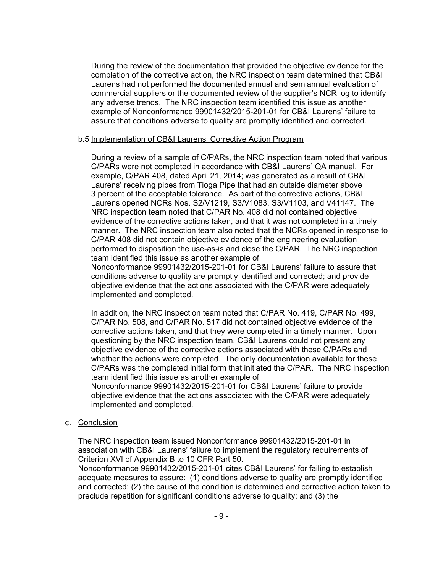During the review of the documentation that provided the objective evidence for the completion of the corrective action, the NRC inspection team determined that CB&I Laurens had not performed the documented annual and semiannual evaluation of commercial suppliers or the documented review of the supplier's NCR log to identify any adverse trends. The NRC inspection team identified this issue as another example of Nonconformance 99901432/2015-201-01 for CB&I Laurens' failure to assure that conditions adverse to quality are promptly identified and corrected.

#### b.5 Implementation of CB&I Laurens' Corrective Action Program

During a review of a sample of C/PARs, the NRC inspection team noted that various C/PARs were not completed in accordance with CB&I Laurens' QA manual. For example, C/PAR 408, dated April 21, 2014; was generated as a result of CB&I Laurens' receiving pipes from Tioga Pipe that had an outside diameter above 3 percent of the acceptable tolerance. As part of the corrective actions, CB&I Laurens opened NCRs Nos. S2/V1219, S3/V1083, S3/V1103, and V41147. The NRC inspection team noted that C/PAR No. 408 did not contained objective evidence of the corrective actions taken, and that it was not completed in a timely manner. The NRC inspection team also noted that the NCRs opened in response to C/PAR 408 did not contain objective evidence of the engineering evaluation performed to disposition the use-as-is and close the C/PAR. The NRC inspection team identified this issue as another example of Nonconformance 99901432/2015-201-01 for CB&I Laurens' failure to assure that conditions adverse to quality are promptly identified and corrected; and provide

objective evidence that the actions associated with the C/PAR were adequately implemented and completed.

In addition, the NRC inspection team noted that C/PAR No. 419, C/PAR No. 499, C/PAR No. 508, and C/PAR No. 517 did not contained objective evidence of the corrective actions taken, and that they were completed in a timely manner. Upon questioning by the NRC inspection team, CB&I Laurens could not present any objective evidence of the corrective actions associated with these C/PARs and whether the actions were completed. The only documentation available for these C/PARs was the completed initial form that initiated the C/PAR. The NRC inspection team identified this issue as another example of

Nonconformance 99901432/2015-201-01 for CB&I Laurens' failure to provide objective evidence that the actions associated with the C/PAR were adequately implemented and completed.

c. Conclusion

The NRC inspection team issued Nonconformance 99901432/2015-201-01 in association with CB&I Laurens' failure to implement the regulatory requirements of Criterion XVI of Appendix B to 10 CFR Part 50.

Nonconformance 99901432/2015-201-01 cites CB&I Laurens' for failing to establish adequate measures to assure: (1) conditions adverse to quality are promptly identified and corrected; (2) the cause of the condition is determined and corrective action taken to preclude repetition for significant conditions adverse to quality; and (3) the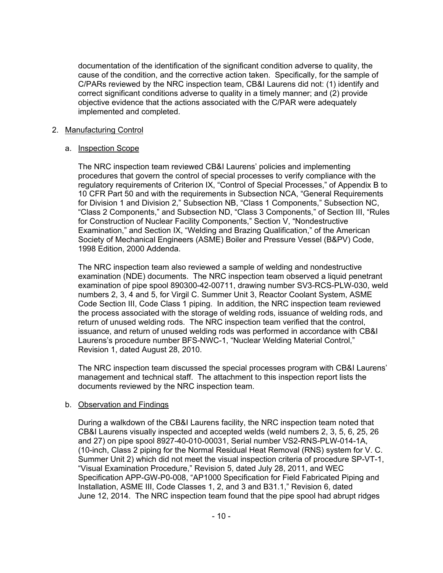documentation of the identification of the significant condition adverse to quality, the cause of the condition, and the corrective action taken. Specifically, for the sample of C/PARs reviewed by the NRC inspection team, CB&I Laurens did not: (1) identify and correct significant conditions adverse to quality in a timely manner; and (2) provide objective evidence that the actions associated with the C/PAR were adequately implemented and completed.

## 2. Manufacturing Control

## a. Inspection Scope

The NRC inspection team reviewed CB&I Laurens' policies and implementing procedures that govern the control of special processes to verify compliance with the regulatory requirements of Criterion IX, "Control of Special Processes," of Appendix B to 10 CFR Part 50 and with the requirements in Subsection NCA, "General Requirements for Division 1 and Division 2," Subsection NB, "Class 1 Components," Subsection NC, "Class 2 Components," and Subsection ND, "Class 3 Components," of Section III, "Rules for Construction of Nuclear Facility Components," Section V, "Nondestructive Examination," and Section IX, "Welding and Brazing Qualification," of the American Society of Mechanical Engineers (ASME) Boiler and Pressure Vessel (B&PV) Code, 1998 Edition, 2000 Addenda.

The NRC inspection team also reviewed a sample of welding and nondestructive examination (NDE) documents. The NRC inspection team observed a liquid penetrant examination of pipe spool 890300-42-00711, drawing number SV3-RCS-PLW-030, weld numbers 2, 3, 4 and 5, for Virgil C. Summer Unit 3, Reactor Coolant System, ASME Code Section III, Code Class 1 piping. In addition, the NRC inspection team reviewed the process associated with the storage of welding rods, issuance of welding rods, and return of unused welding rods. The NRC inspection team verified that the control, issuance, and return of unused welding rods was performed in accordance with CB&I Laurens's procedure number BFS-NWC-1, "Nuclear Welding Material Control," Revision 1, dated August 28, 2010.

The NRC inspection team discussed the special processes program with CB&I Laurens' management and technical staff. The attachment to this inspection report lists the documents reviewed by the NRC inspection team.

# b. Observation and Findings

During a walkdown of the CB&I Laurens facility, the NRC inspection team noted that CB&I Laurens visually inspected and accepted welds (weld numbers 2, 3, 5, 6, 25, 26 and 27) on pipe spool 8927-40-010-00031, Serial number VS2-RNS-PLW-014-1A, (10-inch, Class 2 piping for the Normal Residual Heat Removal (RNS) system for V. C. Summer Unit 2) which did not meet the visual inspection criteria of procedure SP-VT-1, "Visual Examination Procedure," Revision 5, dated July 28, 2011, and WEC Specification APP-GW-P0-008, "AP1000 Specification for Field Fabricated Piping and Installation, ASME III, Code Classes 1, 2, and 3 and B31.1," Revision 6, dated June 12, 2014. The NRC inspection team found that the pipe spool had abrupt ridges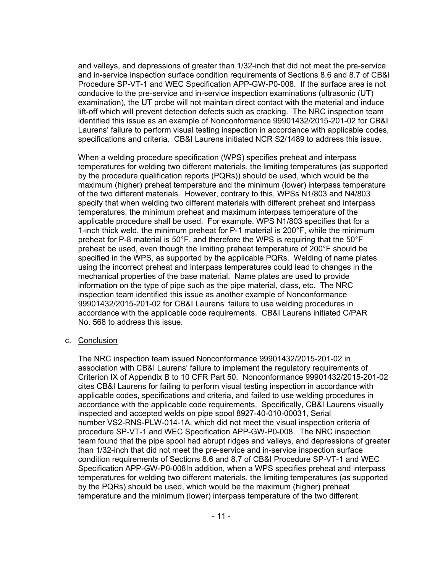and valleys, and depressions of greater than 1/32-inch that did not meet the pre-service and in-service inspection surface condition requirements of Sections 8.6 and 8.7 of CB&I Procedure SP-VT-1 and WEC Specification APP-GW-P0-008. If the surface area is not conducive to the pre-service and in-service inspection examinations (ultrasonic (UT) examination), the UT probe will not maintain direct contact with the material and induce lift-off which will prevent detection defects such as cracking. The NRC inspection team identified this issue as an example of Nonconformance 99901432/2015-201-02 for CB&I Laurens' failure to perform visual testing inspection in accordance with applicable codes, specifications and criteria. CB&I Laurens initiated NCR S2/1489 to address this issue.

When a welding procedure specification (WPS) specifies preheat and interpass temperatures for welding two different materials, the limiting temperatures (as supported by the procedure qualification reports (PQRs)) should be used, which would be the maximum (higher) preheat temperature and the minimum (lower) interpass temperature of the two different materials. However, contrary to this, WPSs N1/803 and N4/803 specify that when welding two different materials with different preheat and interpass temperatures, the minimum preheat and maximum interpass temperature of the applicable procedure shall be used. For example, WPS N1/803 specifies that for a 1-inch thick weld, the minimum preheat for P-1 material is 200°F, while the minimum preheat for P-8 material is 50°F, and therefore the WPS is requiring that the 50°F preheat be used, even though the limiting preheat temperature of 200°F should be specified in the WPS, as supported by the applicable PQRs. Welding of name plates using the incorrect preheat and interpass temperatures could lead to changes in the mechanical properties of the base material. Name plates are used to provide information on the type of pipe such as the pipe material, class, etc. The NRC inspection team identified this issue as another example of Nonconformance 99901432/2015-201-02 for CB&I Laurens' failure to use welding procedures in accordance with the applicable code requirements. CB&I Laurens initiated C/PAR No. 568 to address this issue.

#### c. Conclusion

The NRC inspection team issued Nonconformance 99901432/2015-201-02 in association with CB&I Laurens' failure to implement the regulatory requirements of Criterion IX of Appendix B to 10 CFR Part 50. Nonconformance 99901432/2015-201-02 cites CB&I Laurens for failing to perform visual testing inspection in accordance with applicable codes, specifications and criteria, and failed to use welding procedures in accordance with the applicable code requirements. Specifically, CB&I Laurens visually inspected and accepted welds on pipe spool 8927-40-010-00031, Serial number VS2-RNS-PLW-014-1A, which did not meet the visual inspection criteria of procedure SP-VT-1 and WEC Specification APP-GW-P0-008. The NRC inspection team found that the pipe spool had abrupt ridges and valleys, and depressions of greater than 1/32-inch that did not meet the pre-service and in-service inspection surface condition requirements of Sections 8.6 and 8.7 of CB&I Procedure SP-VT-1 and WEC Specification APP-GW-P0-008In addition, when a WPS specifies preheat and interpass temperatures for welding two different materials, the limiting temperatures (as supported by the PQRs) should be used, which would be the maximum (higher) preheat temperature and the minimum (lower) interpass temperature of the two different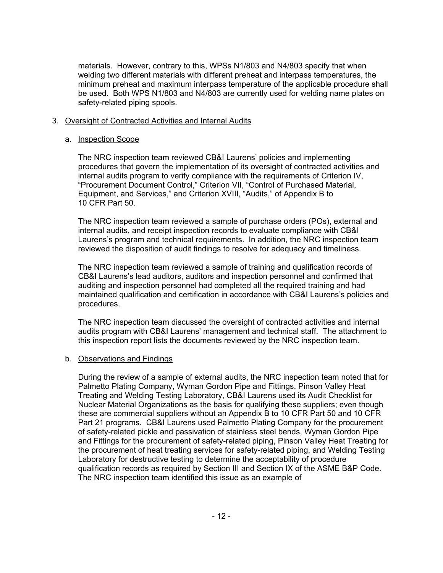materials. However, contrary to this, WPSs N1/803 and N4/803 specify that when welding two different materials with different preheat and interpass temperatures, the minimum preheat and maximum interpass temperature of the applicable procedure shall be used. Both WPS N1/803 and N4/803 are currently used for welding name plates on safety-related piping spools.

#### 3. Oversight of Contracted Activities and Internal Audits

#### a. Inspection Scope

The NRC inspection team reviewed CB&I Laurens' policies and implementing procedures that govern the implementation of its oversight of contracted activities and internal audits program to verify compliance with the requirements of Criterion IV, "Procurement Document Control," Criterion VII, "Control of Purchased Material, Equipment, and Services," and Criterion XVIII, "Audits," of Appendix B to 10 CFR Part 50.

The NRC inspection team reviewed a sample of purchase orders (POs), external and internal audits, and receipt inspection records to evaluate compliance with CB&I Laurens's program and technical requirements. In addition, the NRC inspection team reviewed the disposition of audit findings to resolve for adequacy and timeliness.

The NRC inspection team reviewed a sample of training and qualification records of CB&I Laurens's lead auditors, auditors and inspection personnel and confirmed that auditing and inspection personnel had completed all the required training and had maintained qualification and certification in accordance with CB&I Laurens's policies and procedures.

The NRC inspection team discussed the oversight of contracted activities and internal audits program with CB&I Laurens' management and technical staff. The attachment to this inspection report lists the documents reviewed by the NRC inspection team.

## b. Observations and Findings

During the review of a sample of external audits, the NRC inspection team noted that for Palmetto Plating Company, Wyman Gordon Pipe and Fittings, Pinson Valley Heat Treating and Welding Testing Laboratory, CB&I Laurens used its Audit Checklist for Nuclear Material Organizations as the basis for qualifying these suppliers; even though these are commercial suppliers without an Appendix B to 10 CFR Part 50 and 10 CFR Part 21 programs. CB&I Laurens used Palmetto Plating Company for the procurement of safety-related pickle and passivation of stainless steel bends, Wyman Gordon Pipe and Fittings for the procurement of safety-related piping, Pinson Valley Heat Treating for the procurement of heat treating services for safety-related piping, and Welding Testing Laboratory for destructive testing to determine the acceptability of procedure qualification records as required by Section III and Section IX of the ASME B&P Code. The NRC inspection team identified this issue as an example of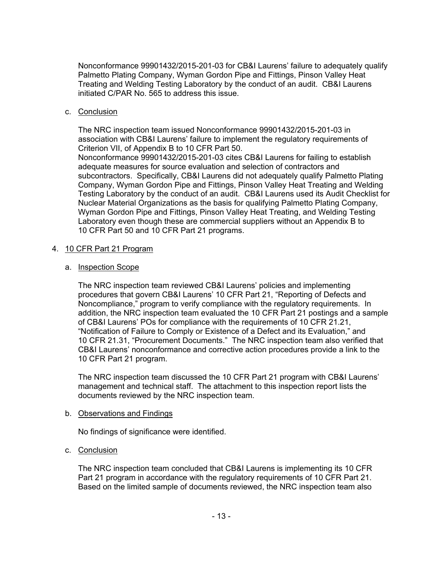Nonconformance 99901432/2015-201-03 for CB&I Laurens' failure to adequately qualify Palmetto Plating Company, Wyman Gordon Pipe and Fittings, Pinson Valley Heat Treating and Welding Testing Laboratory by the conduct of an audit. CB&I Laurens initiated C/PAR No. 565 to address this issue.

## c. Conclusion

The NRC inspection team issued Nonconformance 99901432/2015-201-03 in association with CB&I Laurens' failure to implement the regulatory requirements of Criterion VII, of Appendix B to 10 CFR Part 50. Nonconformance 99901432/2015-201-03 cites CB&I Laurens for failing to establish adequate measures for source evaluation and selection of contractors and

subcontractors. Specifically, CB&I Laurens did not adequately qualify Palmetto Plating Company, Wyman Gordon Pipe and Fittings, Pinson Valley Heat Treating and Welding Testing Laboratory by the conduct of an audit. CB&I Laurens used its Audit Checklist for Nuclear Material Organizations as the basis for qualifying Palmetto Plating Company, Wyman Gordon Pipe and Fittings, Pinson Valley Heat Treating, and Welding Testing Laboratory even though these are commercial suppliers without an Appendix B to 10 CFR Part 50 and 10 CFR Part 21 programs.

#### 4. 10 CFR Part 21 Program

#### a. Inspection Scope

The NRC inspection team reviewed CB&I Laurens' policies and implementing procedures that govern CB&I Laurens' 10 CFR Part 21, "Reporting of Defects and Noncompliance," program to verify compliance with the regulatory requirements. In addition, the NRC inspection team evaluated the 10 CFR Part 21 postings and a sample of CB&I Laurens' POs for compliance with the requirements of 10 CFR 21.21, "Notification of Failure to Comply or Existence of a Defect and its Evaluation," and 10 CFR 21.31, "Procurement Documents." The NRC inspection team also verified that CB&I Laurens' nonconformance and corrective action procedures provide a link to the 10 CFR Part 21 program.

The NRC inspection team discussed the 10 CFR Part 21 program with CB&I Laurens' management and technical staff. The attachment to this inspection report lists the documents reviewed by the NRC inspection team.

## b. Observations and Findings

No findings of significance were identified.

## c. Conclusion

The NRC inspection team concluded that CB&I Laurens is implementing its 10 CFR Part 21 program in accordance with the regulatory requirements of 10 CFR Part 21. Based on the limited sample of documents reviewed, the NRC inspection team also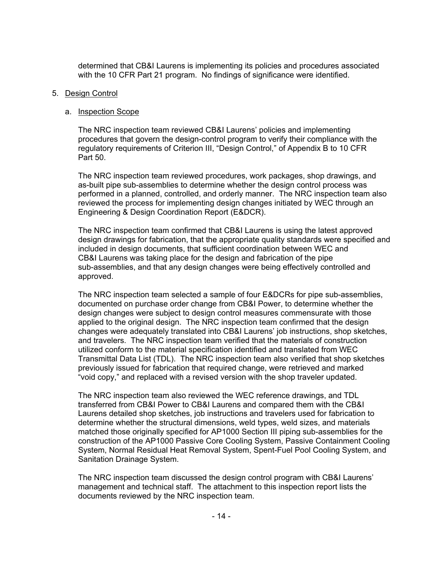determined that CB&I Laurens is implementing its policies and procedures associated with the 10 CFR Part 21 program. No findings of significance were identified.

#### 5. Design Control

#### a. Inspection Scope

The NRC inspection team reviewed CB&I Laurens' policies and implementing procedures that govern the design-control program to verify their compliance with the regulatory requirements of Criterion III, "Design Control," of Appendix B to 10 CFR Part 50.

The NRC inspection team reviewed procedures, work packages, shop drawings, and as-built pipe sub-assemblies to determine whether the design control process was performed in a planned, controlled, and orderly manner. The NRC inspection team also reviewed the process for implementing design changes initiated by WEC through an Engineering & Design Coordination Report (E&DCR).

The NRC inspection team confirmed that CB&I Laurens is using the latest approved design drawings for fabrication, that the appropriate quality standards were specified and included in design documents, that sufficient coordination between WEC and CB&I Laurens was taking place for the design and fabrication of the pipe sub-assemblies, and that any design changes were being effectively controlled and approved.

The NRC inspection team selected a sample of four E&DCRs for pipe sub-assemblies, documented on purchase order change from CB&I Power, to determine whether the design changes were subject to design control measures commensurate with those applied to the original design. The NRC inspection team confirmed that the design changes were adequately translated into CB&I Laurens' job instructions, shop sketches, and travelers. The NRC inspection team verified that the materials of construction utilized conform to the material specification identified and translated from WEC Transmittal Data List (TDL). The NRC inspection team also verified that shop sketches previously issued for fabrication that required change, were retrieved and marked "void copy," and replaced with a revised version with the shop traveler updated.

The NRC inspection team also reviewed the WEC reference drawings, and TDL transferred from CB&I Power to CB&I Laurens and compared them with the CB&I Laurens detailed shop sketches, job instructions and travelers used for fabrication to determine whether the structural dimensions, weld types, weld sizes, and materials matched those originally specified for AP1000 Section III piping sub-assemblies for the construction of the AP1000 Passive Core Cooling System, Passive Containment Cooling System, Normal Residual Heat Removal System, Spent-Fuel Pool Cooling System, and Sanitation Drainage System.

The NRC inspection team discussed the design control program with CB&I Laurens' management and technical staff. The attachment to this inspection report lists the documents reviewed by the NRC inspection team.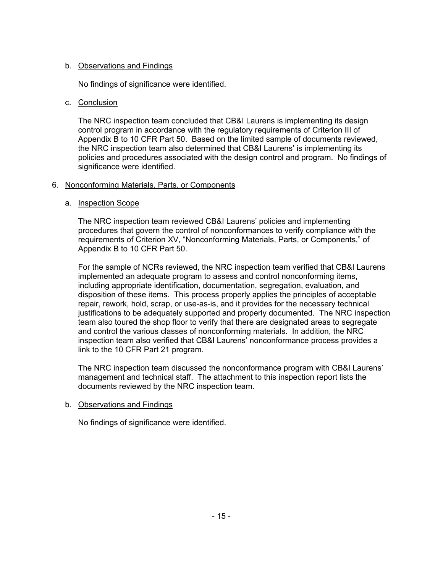## b. Observations and Findings

No findings of significance were identified.

## c. Conclusion

The NRC inspection team concluded that CB&I Laurens is implementing its design control program in accordance with the regulatory requirements of Criterion III of Appendix B to 10 CFR Part 50. Based on the limited sample of documents reviewed, the NRC inspection team also determined that CB&I Laurens' is implementing its policies and procedures associated with the design control and program. No findings of significance were identified.

## 6. Nonconforming Materials, Parts, or Components

## a. Inspection Scope

The NRC inspection team reviewed CB&I Laurens' policies and implementing procedures that govern the control of nonconformances to verify compliance with the requirements of Criterion XV, "Nonconforming Materials, Parts, or Components," of Appendix B to 10 CFR Part 50.

For the sample of NCRs reviewed, the NRC inspection team verified that CB&I Laurens implemented an adequate program to assess and control nonconforming items, including appropriate identification, documentation, segregation, evaluation, and disposition of these items. This process properly applies the principles of acceptable repair, rework, hold, scrap, or use-as-is, and it provides for the necessary technical justifications to be adequately supported and properly documented. The NRC inspection team also toured the shop floor to verify that there are designated areas to segregate and control the various classes of nonconforming materials. In addition, the NRC inspection team also verified that CB&I Laurens' nonconformance process provides a link to the 10 CFR Part 21 program.

The NRC inspection team discussed the nonconformance program with CB&I Laurens' management and technical staff. The attachment to this inspection report lists the documents reviewed by the NRC inspection team.

## b. Observations and Findings

No findings of significance were identified.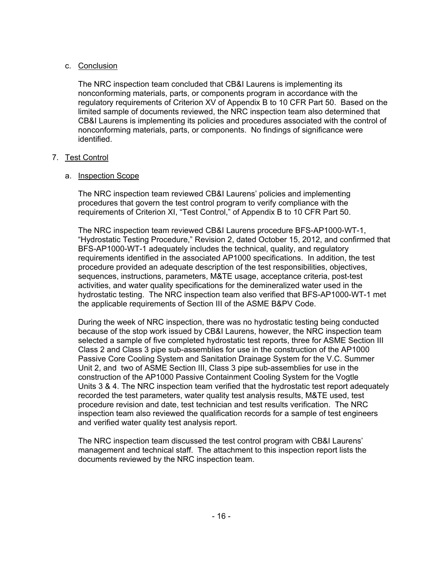## c. Conclusion

The NRC inspection team concluded that CB&I Laurens is implementing its nonconforming materials, parts, or components program in accordance with the regulatory requirements of Criterion XV of Appendix B to 10 CFR Part 50. Based on the limited sample of documents reviewed, the NRC inspection team also determined that CB&I Laurens is implementing its policies and procedures associated with the control of nonconforming materials, parts, or components. No findings of significance were identified.

## 7. Test Control

## a. Inspection Scope

The NRC inspection team reviewed CB&I Laurens' policies and implementing procedures that govern the test control program to verify compliance with the requirements of Criterion XI, "Test Control," of Appendix B to 10 CFR Part 50.

The NRC inspection team reviewed CB&I Laurens procedure BFS-AP1000-WT-1, "Hydrostatic Testing Procedure," Revision 2, dated October 15, 2012, and confirmed that BFS-AP1000-WT-1 adequately includes the technical, quality, and regulatory requirements identified in the associated AP1000 specifications. In addition, the test procedure provided an adequate description of the test responsibilities, objectives, sequences, instructions, parameters, M&TE usage, acceptance criteria, post-test activities, and water quality specifications for the demineralized water used in the hydrostatic testing. The NRC inspection team also verified that BFS-AP1000-WT-1 met the applicable requirements of Section III of the ASME B&PV Code.

During the week of NRC inspection, there was no hydrostatic testing being conducted because of the stop work issued by CB&I Laurens, however, the NRC inspection team selected a sample of five completed hydrostatic test reports, three for ASME Section III Class 2 and Class 3 pipe sub-assemblies for use in the construction of the AP1000 Passive Core Cooling System and Sanitation Drainage System for the V.C. Summer Unit 2, and two of ASME Section III, Class 3 pipe sub-assemblies for use in the construction of the AP1000 Passive Containment Cooling System for the Vogtle Units 3 & 4. The NRC inspection team verified that the hydrostatic test report adequately recorded the test parameters, water quality test analysis results, M&TE used, test procedure revision and date, test technician and test results verification. The NRC inspection team also reviewed the qualification records for a sample of test engineers and verified water quality test analysis report.

The NRC inspection team discussed the test control program with CB&I Laurens' management and technical staff. The attachment to this inspection report lists the documents reviewed by the NRC inspection team.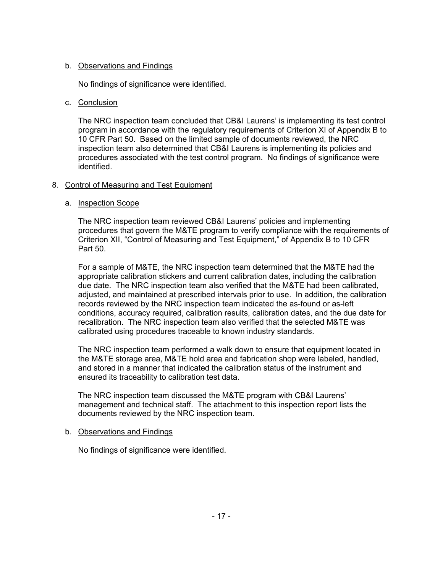## b. Observations and Findings

No findings of significance were identified.

## c. Conclusion

The NRC inspection team concluded that CB&I Laurens' is implementing its test control program in accordance with the regulatory requirements of Criterion XI of Appendix B to 10 CFR Part 50. Based on the limited sample of documents reviewed, the NRC inspection team also determined that CB&I Laurens is implementing its policies and procedures associated with the test control program. No findings of significance were identified.

## 8. Control of Measuring and Test Equipment

## a. Inspection Scope

The NRC inspection team reviewed CB&I Laurens' policies and implementing procedures that govern the M&TE program to verify compliance with the requirements of Criterion XII, "Control of Measuring and Test Equipment," of Appendix B to 10 CFR Part 50.

For a sample of M&TE, the NRC inspection team determined that the M&TE had the appropriate calibration stickers and current calibration dates, including the calibration due date. The NRC inspection team also verified that the M&TE had been calibrated, adjusted, and maintained at prescribed intervals prior to use. In addition, the calibration records reviewed by the NRC inspection team indicated the as-found or as-left conditions, accuracy required, calibration results, calibration dates, and the due date for recalibration. The NRC inspection team also verified that the selected M&TE was calibrated using procedures traceable to known industry standards.

The NRC inspection team performed a walk down to ensure that equipment located in the M&TE storage area, M&TE hold area and fabrication shop were labeled, handled, and stored in a manner that indicated the calibration status of the instrument and ensured its traceability to calibration test data.

The NRC inspection team discussed the M&TE program with CB&I Laurens' management and technical staff. The attachment to this inspection report lists the documents reviewed by the NRC inspection team.

## b. Observations and Findings

No findings of significance were identified.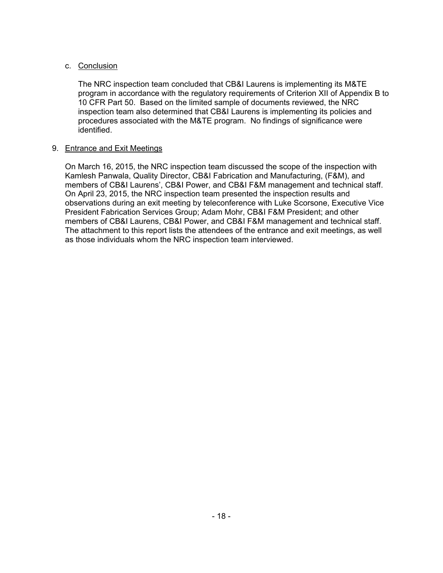## c. Conclusion

The NRC inspection team concluded that CB&I Laurens is implementing its M&TE program in accordance with the regulatory requirements of Criterion XII of Appendix B to 10 CFR Part 50. Based on the limited sample of documents reviewed, the NRC inspection team also determined that CB&I Laurens is implementing its policies and procedures associated with the M&TE program. No findings of significance were identified.

## 9. Entrance and Exit Meetings

On March 16, 2015, the NRC inspection team discussed the scope of the inspection with Kamlesh Panwala, Quality Director, CB&I Fabrication and Manufacturing, (F&M), and members of CB&I Laurens', CB&I Power, and CB&I F&M management and technical staff. On April 23, 2015, the NRC inspection team presented the inspection results and observations during an exit meeting by teleconference with Luke Scorsone, Executive Vice President Fabrication Services Group; Adam Mohr, CB&I F&M President; and other members of CB&I Laurens, CB&I Power, and CB&I F&M management and technical staff. The attachment to this report lists the attendees of the entrance and exit meetings, as well as those individuals whom the NRC inspection team interviewed.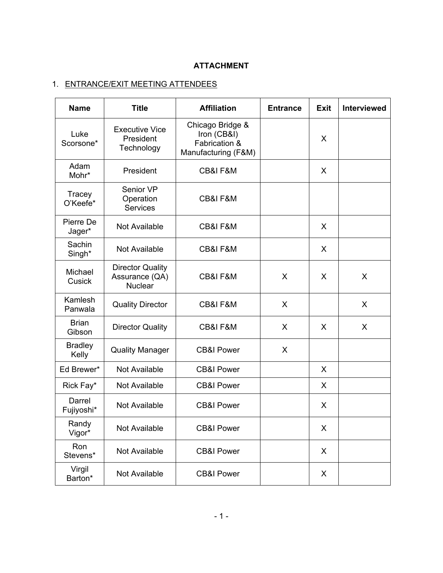# **ATTACHMENT**

# 1. ENTRANCE/EXIT MEETING ATTENDEES

| <b>Name</b>             | <b>Title</b>                                                | <b>Affiliation</b>                                                      | <b>Entrance</b> | <b>Exit</b> | <b>Interviewed</b> |
|-------------------------|-------------------------------------------------------------|-------------------------------------------------------------------------|-----------------|-------------|--------------------|
| Luke<br>Scorsone*       | <b>Executive Vice</b><br>President<br>Technology            | Chicago Bridge &<br>Iron (CB&I)<br>Fabrication &<br>Manufacturing (F&M) |                 | X           |                    |
| Adam<br>Mohr*           | President                                                   | <b>CB&amp;I F&amp;M</b>                                                 |                 | X           |                    |
| Tracey<br>O'Keefe*      | Senior VP<br>Operation<br><b>Services</b>                   | CB&I F&M                                                                |                 |             |                    |
| Pierre De<br>Jager*     | Not Available                                               | CB&I F&M                                                                |                 | X           |                    |
| Sachin<br>Singh*        | Not Available                                               | <b>CB&amp;I F&amp;M</b>                                                 |                 |             |                    |
| Michael<br>Cusick       | <b>Director Quality</b><br>Assurance (QA)<br><b>Nuclear</b> | <b>CB&amp;I F&amp;M</b>                                                 | X               | X           | X                  |
| Kamlesh<br>Panwala      | <b>Quality Director</b>                                     | CB&I F&M                                                                | X               |             | X                  |
| <b>Brian</b><br>Gibson  | <b>Director Quality</b>                                     | CB&I F&M                                                                | X               | X           | X                  |
| <b>Bradley</b><br>Kelly | <b>Quality Manager</b>                                      | <b>CB&amp;I Power</b>                                                   | X               |             |                    |
| Ed Brewer*              | Not Available                                               | <b>CB&amp;I Power</b>                                                   |                 | X           |                    |
| Rick Fay*               | Not Available                                               | <b>CB&amp;I Power</b>                                                   |                 | X           |                    |
| Darrel<br>Fujiyoshi*    | Not Available                                               | <b>CB&amp;I Power</b>                                                   |                 | X           |                    |
| Randy<br>Vigor*         | Not Available                                               | <b>CB&amp;I Power</b>                                                   |                 | X           |                    |
| Ron<br>Stevens*         | Not Available                                               | <b>CB&amp;I Power</b>                                                   |                 | X           |                    |
| Virgil<br>Barton*       | Not Available                                               | <b>CB&amp;I Power</b>                                                   |                 | X           |                    |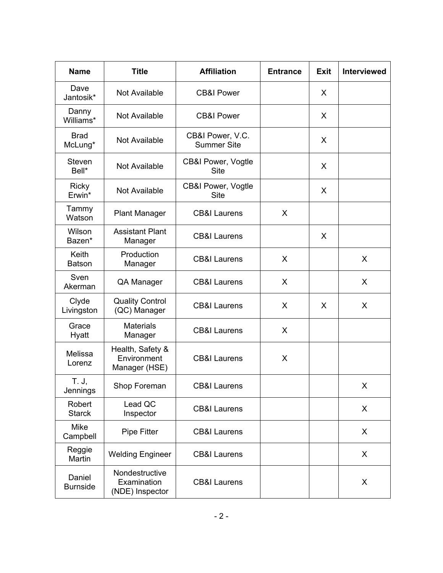| <b>Name</b>               | <b>Title</b>                                     | <b>Affiliation</b>                     | <b>Entrance</b> | <b>Exit</b> | <b>Interviewed</b> |
|---------------------------|--------------------------------------------------|----------------------------------------|-----------------|-------------|--------------------|
| Dave<br>Jantosik*         | Not Available                                    | <b>CB&amp;I Power</b>                  |                 | X           |                    |
| Danny<br>Williams*        | Not Available                                    | <b>CB&amp;I Power</b>                  |                 | X           |                    |
| <b>Brad</b><br>McLung*    | Not Available                                    | CB&I Power, V.C.<br><b>Summer Site</b> |                 | X           |                    |
| Steven<br>Bell*           | Not Available                                    | CB&I Power, Vogtle<br><b>Site</b>      |                 | X           |                    |
| <b>Ricky</b><br>Erwin*    | Not Available                                    | CB&I Power, Vogtle<br><b>Site</b>      |                 | X           |                    |
| Tammy<br>Watson           | <b>Plant Manager</b>                             | <b>CB&amp;I Laurens</b>                | X               |             |                    |
| Wilson<br>Bazen*          | <b>Assistant Plant</b><br>Manager                | <b>CB&amp;I Laurens</b>                |                 |             |                    |
| Keith<br><b>Batson</b>    | Production<br>Manager                            | <b>CB&amp;I Laurens</b>                | X               |             | X                  |
| Sven<br>Akerman           | QA Manager                                       | <b>CB&amp;I Laurens</b>                | X               |             | X                  |
| Clyde<br>Livingston       | <b>Quality Control</b><br>(QC) Manager           | <b>CB&amp;I Laurens</b>                | X               | X           | X                  |
| Grace<br>Hyatt            | <b>Materials</b><br>Manager                      | <b>CB&amp;I Laurens</b>                | X               |             |                    |
| Melissa<br>Lorenz         | Health, Safety &<br>Environment<br>Manager (HSE) | <b>CB&amp;I Laurens</b>                | X               |             |                    |
| T. J,<br>Jennings         | Shop Foreman                                     | <b>CB&amp;I Laurens</b>                |                 |             | X                  |
| Robert<br><b>Starck</b>   | Lead QC<br>Inspector                             | <b>CB&amp;I Laurens</b>                |                 |             | X                  |
| <b>Mike</b><br>Campbell   | Pipe Fitter                                      | <b>CB&amp;I Laurens</b>                |                 |             | X                  |
| Reggie<br>Martin          | <b>Welding Engineer</b>                          | <b>CB&amp;I Laurens</b>                |                 |             | X                  |
| Daniel<br><b>Burnside</b> | Nondestructive<br>Examination<br>(NDE) Inspector | <b>CB&amp;I Laurens</b>                |                 |             | X                  |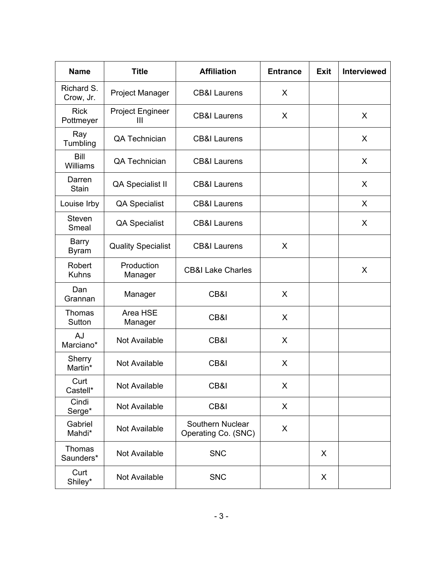| <b>Name</b>                  | <b>Title</b>                              | <b>Affiliation</b>                           | <b>Entrance</b> | <b>Exit</b> | <b>Interviewed</b> |
|------------------------------|-------------------------------------------|----------------------------------------------|-----------------|-------------|--------------------|
| Richard S.<br>Crow, Jr.      | Project Manager                           | <b>CB&amp;I Laurens</b><br>X.                |                 |             |                    |
| <b>Rick</b><br>Pottmeyer     | <b>Project Engineer</b><br>$\mathbf{III}$ | <b>CB&amp;I Laurens</b>                      | X               |             | X                  |
| Ray<br>Tumbling              | QA Technician                             | <b>CB&amp;I Laurens</b>                      |                 |             | X                  |
| Bill<br>Williams             | QA Technician                             | <b>CB&amp;I Laurens</b>                      |                 |             | X                  |
| Darren<br><b>Stain</b>       | QA Specialist II                          | <b>CB&amp;I Laurens</b>                      |                 |             | X                  |
| Louise Irby                  | <b>QA Specialist</b>                      | <b>CB&amp;I Laurens</b>                      |                 |             | X                  |
| Steven<br>Smeal              | <b>QA Specialist</b>                      | <b>CB&amp;I Laurens</b>                      |                 |             | X                  |
| <b>Barry</b><br><b>Byram</b> | <b>Quality Specialist</b>                 | X<br><b>CB&amp;I Laurens</b>                 |                 |             |                    |
| Robert<br><b>Kuhns</b>       | Production<br>Manager                     | <b>CB&amp;I Lake Charles</b>                 |                 |             | X                  |
| Dan<br>Grannan               | Manager                                   | CB&I<br>X                                    |                 |             |                    |
| Thomas<br>Sutton             | Area HSE<br>Manager                       | CB&I<br>X                                    |                 |             |                    |
| AJ<br>Marciano*              | Not Available                             | CB&I                                         | X               |             |                    |
| Sherry<br>Martin*            | Not Available                             | CB&I<br>X                                    |                 |             |                    |
| Curt<br>Castell*             | Not Available                             | CB&I<br>X                                    |                 |             |                    |
| Cindi<br>Serge*              | Not Available                             | X<br>CB&I                                    |                 |             |                    |
| Gabriel<br>Mahdi*            | Not Available                             | Southern Nuclear<br>X<br>Operating Co. (SNC) |                 |             |                    |
| Thomas<br>Saunders*          | Not Available                             | <b>SNC</b>                                   | X               |             |                    |
| Curt<br>Shiley*              | Not Available                             | <b>SNC</b>                                   |                 |             |                    |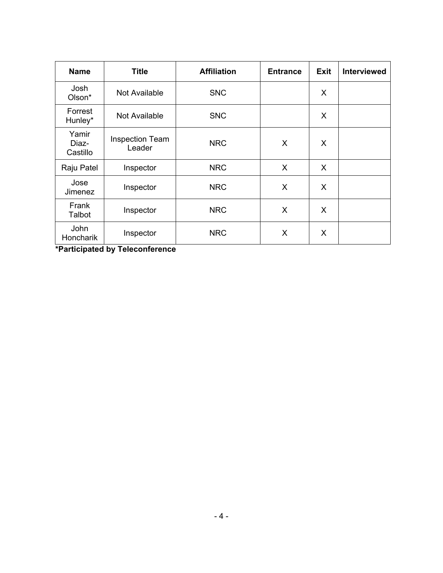| <b>Name</b>                | <b>Title</b>                     | <b>Affiliation</b> | <b>Entrance</b> | <b>Exit</b>  | <b>Interviewed</b> |
|----------------------------|----------------------------------|--------------------|-----------------|--------------|--------------------|
| Josh<br>Olson*             | Not Available                    | <b>SNC</b>         |                 | X            |                    |
| Forrest<br>Hunley*         | Not Available                    | <b>SNC</b>         |                 | X            |                    |
| Yamir<br>Diaz-<br>Castillo | <b>Inspection Team</b><br>Leader | <b>NRC</b>         | X               | X            |                    |
| Raju Patel                 | Inspector                        | <b>NRC</b>         | X               | $\mathsf{X}$ |                    |
| Jose<br>Jimenez            | Inspector                        | <b>NRC</b>         | X               | X            |                    |
| Frank<br>Talbot            | Inspector                        | <b>NRC</b>         | X               | $\sf X$      |                    |
| John<br>Honcharik          | Inspector                        | <b>NRC</b>         | X               | X            |                    |

**\*Participated by Teleconference**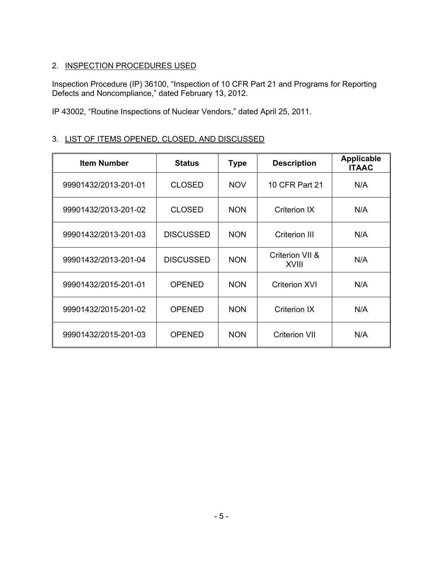# 2. INSPECTION PROCEDURES USED

Inspection Procedure (IP) 36100, "Inspection of 10 CFR Part 21 and Programs for Reporting Defects and Noncompliance," dated February 13, 2012.

IP 43002, "Routine Inspections of Nuclear Vendors," dated April 25, 2011.

# 3. LIST OF ITEMS OPENED, CLOSED, AND DISCUSSED

| <b>Item Number</b>   | <b>Status</b>    | <b>Type</b> | <b>Description</b>       | <b>Applicable</b><br><b>ITAAC</b> |
|----------------------|------------------|-------------|--------------------------|-----------------------------------|
| 99901432/2013-201-01 | <b>CLOSED</b>    | <b>NOV</b>  | 10 CFR Part 21           | N/A                               |
| 99901432/2013-201-02 | <b>CLOSED</b>    | <b>NON</b>  | Criterion IX             | N/A                               |
| 99901432/2013-201-03 | <b>DISCUSSED</b> | <b>NON</b>  | Criterion III            | N/A                               |
| 99901432/2013-201-04 | <b>DISCUSSED</b> | <b>NON</b>  | Criterion VII &<br>XVIII | N/A                               |
| 99901432/2015-201-01 | <b>OPENED</b>    | <b>NON</b>  | <b>Criterion XVI</b>     | N/A                               |
| 99901432/2015-201-02 | <b>OPENED</b>    | <b>NON</b>  | <b>Criterion IX</b>      | N/A                               |
| 99901432/2015-201-03 | <b>OPENED</b>    | <b>NON</b>  | <b>Criterion VII</b>     | N/A                               |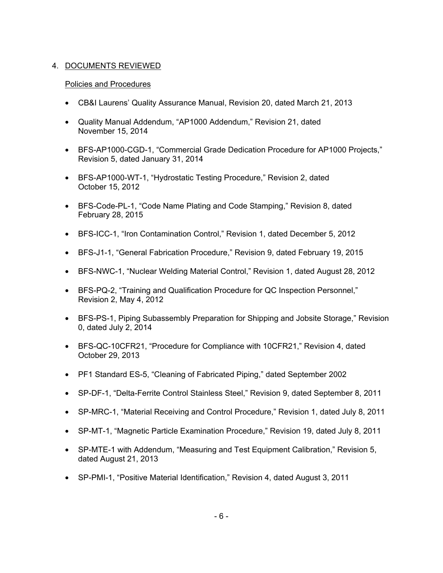# 4. DOCUMENTS REVIEWED

## Policies and Procedures

- CB&I Laurens' Quality Assurance Manual, Revision 20, dated March 21, 2013
- Quality Manual Addendum, "AP1000 Addendum," Revision 21, dated November 15, 2014
- BFS-AP1000-CGD-1, "Commercial Grade Dedication Procedure for AP1000 Projects," Revision 5, dated January 31, 2014
- BFS-AP1000-WT-1, "Hydrostatic Testing Procedure," Revision 2, dated October 15, 2012
- BFS-Code-PL-1, "Code Name Plating and Code Stamping," Revision 8, dated February 28, 2015
- BFS-ICC-1, "Iron Contamination Control," Revision 1, dated December 5, 2012
- BFS-J1-1, "General Fabrication Procedure," Revision 9, dated February 19, 2015
- BFS-NWC-1, "Nuclear Welding Material Control," Revision 1, dated August 28, 2012
- BFS-PQ-2, "Training and Qualification Procedure for QC Inspection Personnel," Revision 2, May 4, 2012
- BFS-PS-1, Piping Subassembly Preparation for Shipping and Jobsite Storage," Revision 0, dated July 2, 2014
- BFS-QC-10CFR21, "Procedure for Compliance with 10CFR21," Revision 4, dated October 29, 2013
- PF1 Standard ES-5, "Cleaning of Fabricated Piping," dated September 2002
- SP-DF-1, "Delta-Ferrite Control Stainless Steel," Revision 9, dated September 8, 2011
- SP-MRC-1, "Material Receiving and Control Procedure," Revision 1, dated July 8, 2011
- SP-MT-1, "Magnetic Particle Examination Procedure," Revision 19, dated July 8, 2011
- SP-MTE-1 with Addendum, "Measuring and Test Equipment Calibration," Revision 5, dated August 21, 2013
- SP-PMI-1, "Positive Material Identification," Revision 4, dated August 3, 2011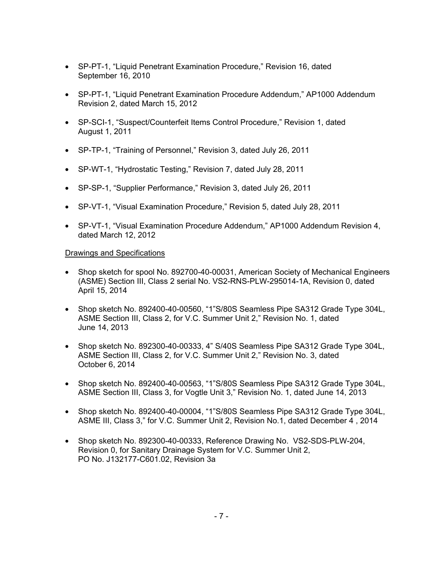- SP-PT-1, "Liquid Penetrant Examination Procedure," Revision 16, dated September 16, 2010
- SP-PT-1, "Liquid Penetrant Examination Procedure Addendum," AP1000 Addendum Revision 2, dated March 15, 2012
- SP-SCI-1, "Suspect/Counterfeit Items Control Procedure," Revision 1, dated August 1, 2011
- SP-TP-1, "Training of Personnel," Revision 3, dated July 26, 2011
- SP-WT-1, "Hydrostatic Testing," Revision 7, dated July 28, 2011
- SP-SP-1, "Supplier Performance," Revision 3, dated July 26, 2011
- SP-VT-1, "Visual Examination Procedure," Revision 5, dated July 28, 2011
- SP-VT-1, "Visual Examination Procedure Addendum," AP1000 Addendum Revision 4, dated March 12, 2012

## Drawings and Specifications

- Shop sketch for spool No. 892700-40-00031, American Society of Mechanical Engineers (ASME) Section III, Class 2 serial No. VS2-RNS-PLW-295014-1A, Revision 0, dated April 15, 2014
- Shop sketch No. 892400-40-00560, "1"S/80S Seamless Pipe SA312 Grade Type 304L, ASME Section III, Class 2, for V.C. Summer Unit 2," Revision No. 1, dated June 14, 2013
- Shop sketch No. 892300-40-00333, 4" S/40S Seamless Pipe SA312 Grade Type 304L, ASME Section III, Class 2, for V.C. Summer Unit 2," Revision No. 3, dated October 6, 2014
- Shop sketch No. 892400-40-00563, "1"S/80S Seamless Pipe SA312 Grade Type 304L, ASME Section III, Class 3, for Vogtle Unit 3," Revision No. 1, dated June 14, 2013
- Shop sketch No. 892400-40-00004, "1"S/80S Seamless Pipe SA312 Grade Type 304L, ASME III, Class 3," for V.C. Summer Unit 2, Revision No.1, dated December 4 , 2014
- Shop sketch No. 892300-40-00333, Reference Drawing No. VS2-SDS-PLW-204, Revision 0, for Sanitary Drainage System for V.C. Summer Unit 2, PO No. J132177-C601.02, Revision 3a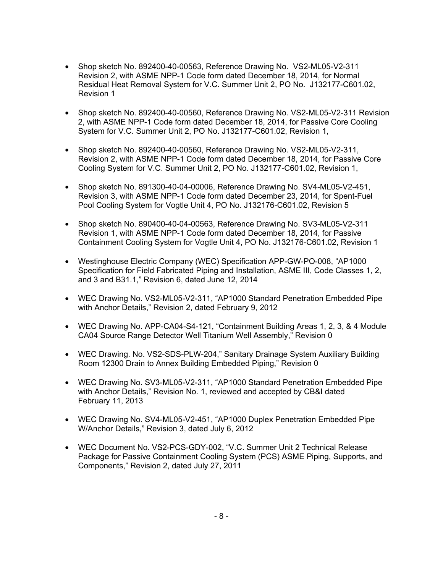- Shop sketch No. 892400-40-00563, Reference Drawing No. VS2-ML05-V2-311 Revision 2, with ASME NPP-1 Code form dated December 18, 2014, for Normal Residual Heat Removal System for V.C. Summer Unit 2, PO No. J132177-C601.02, Revision 1
- Shop sketch No. 892400-40-00560, Reference Drawing No. VS2-ML05-V2-311 Revision 2, with ASME NPP-1 Code form dated December 18, 2014, for Passive Core Cooling System for V.C. Summer Unit 2, PO No. J132177-C601.02, Revision 1,
- Shop sketch No. 892400-40-00560, Reference Drawing No. VS2-ML05-V2-311, Revision 2, with ASME NPP-1 Code form dated December 18, 2014, for Passive Core Cooling System for V.C. Summer Unit 2, PO No. J132177-C601.02, Revision 1,
- Shop sketch No. 891300-40-04-00006, Reference Drawing No. SV4-ML05-V2-451, Revision 3, with ASME NPP-1 Code form dated December 23, 2014, for Spent-Fuel Pool Cooling System for Vogtle Unit 4, PO No. J132176-C601.02, Revision 5
- Shop sketch No. 890400-40-04-00563, Reference Drawing No. SV3-ML05-V2-311 Revision 1, with ASME NPP-1 Code form dated December 18, 2014, for Passive Containment Cooling System for Vogtle Unit 4, PO No. J132176-C601.02, Revision 1
- Westinghouse Electric Company (WEC) Specification APP-GW-PO-008, "AP1000 Specification for Field Fabricated Piping and Installation, ASME III, Code Classes 1, 2, and 3 and B31.1," Revision 6, dated June 12, 2014
- WEC Drawing No. VS2-ML05-V2-311, "AP1000 Standard Penetration Embedded Pipe with Anchor Details," Revision 2, dated February 9, 2012
- WEC Drawing No. APP-CA04-S4-121, "Containment Building Areas 1, 2, 3, & 4 Module CA04 Source Range Detector Well Titanium Well Assembly," Revision 0
- WEC Drawing. No. VS2-SDS-PLW-204," Sanitary Drainage System Auxiliary Building Room 12300 Drain to Annex Building Embedded Piping," Revision 0
- WEC Drawing No. SV3-ML05-V2-311, "AP1000 Standard Penetration Embedded Pipe with Anchor Details," Revision No. 1, reviewed and accepted by CB&I dated February 11, 2013
- WEC Drawing No. SV4-ML05-V2-451, "AP1000 Duplex Penetration Embedded Pipe W/Anchor Details," Revision 3, dated July 6, 2012
- WEC Document No. VS2-PCS-GDY-002, "V.C. Summer Unit 2 Technical Release Package for Passive Containment Cooling System (PCS) ASME Piping, Supports, and Components," Revision 2, dated July 27, 2011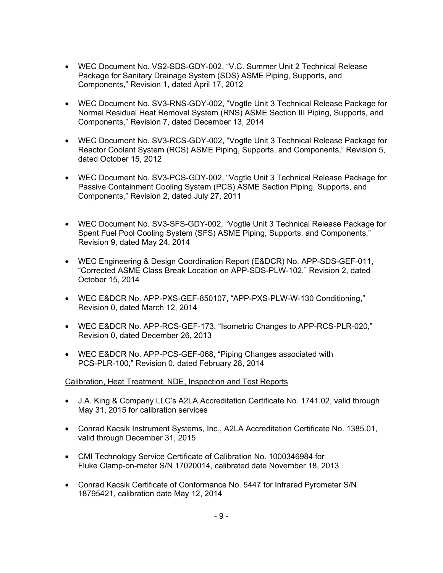- WEC Document No. VS2-SDS-GDY-002, "V.C. Summer Unit 2 Technical Release Package for Sanitary Drainage System (SDS) ASME Piping, Supports, and Components," Revision 1, dated April 17, 2012
- WEC Document No. SV3-RNS-GDY-002, "Vogtle Unit 3 Technical Release Package for Normal Residual Heat Removal System (RNS) ASME Section III Piping, Supports, and Components," Revision 7, dated December 13, 2014
- WEC Document No. SV3-RCS-GDY-002, "Vogtle Unit 3 Technical Release Package for Reactor Coolant System (RCS) ASME Piping, Supports, and Components," Revision 5, dated October 15, 2012
- WEC Document No. SV3-PCS-GDY-002, "Vogtle Unit 3 Technical Release Package for Passive Containment Cooling System (PCS) ASME Section Piping, Supports, and Components," Revision 2, dated July 27, 2011
- WEC Document No. SV3-SFS-GDY-002, "Vogtle Unit 3 Technical Release Package for Spent Fuel Pool Cooling System (SFS) ASME Piping, Supports, and Components," Revision 9, dated May 24, 2014
- WEC Engineering & Design Coordination Report (E&DCR) No. APP-SDS-GEF-011, "Corrected ASME Class Break Location on APP-SDS-PLW-102," Revision 2, dated October 15, 2014
- WEC E&DCR No. APP-PXS-GEF-850107, "APP-PXS-PLW-W-130 Conditioning," Revision 0, dated March 12, 2014
- WEC E&DCR No. APP-RCS-GEF-173, "Isometric Changes to APP-RCS-PLR-020," Revision 0, dated December 26, 2013
- WEC E&DCR No. APP-PCS-GEF-068, "Piping Changes associated with PCS-PLR-100," Revision 0, dated February 28, 2014

## Calibration, Heat Treatment, NDE, Inspection and Test Reports

- J.A. King & Company LLC's A2LA Accreditation Certificate No. 1741.02, valid through May 31, 2015 for calibration services
- Conrad Kacsik Instrument Systems, Inc., A2LA Accreditation Certificate No. 1385.01, valid through December 31, 2015
- CMI Technology Service Certificate of Calibration No. 1000346984 for Fluke Clamp-on-meter S/N 17020014, calibrated date November 18, 2013
- Conrad Kacsik Certificate of Conformance No. 5447 for Infrared Pyrometer S/N 18795421, calibration date May 12, 2014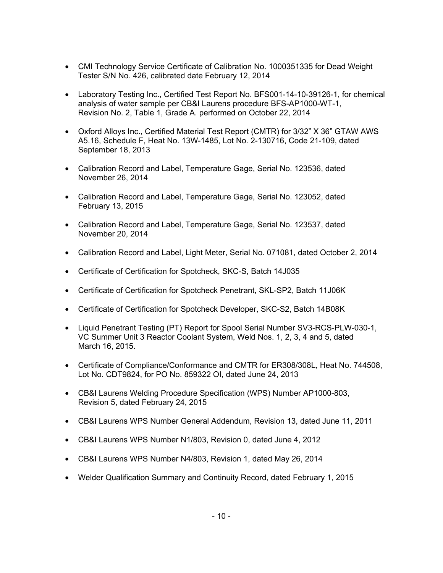- CMI Technology Service Certificate of Calibration No. 1000351335 for Dead Weight Tester S/N No. 426, calibrated date February 12, 2014
- Laboratory Testing Inc., Certified Test Report No. BFS001-14-10-39126-1, for chemical analysis of water sample per CB&I Laurens procedure BFS-AP1000-WT-1, Revision No. 2, Table 1, Grade A. performed on October 22, 2014
- Oxford Alloys Inc., Certified Material Test Report (CMTR) for 3/32" X 36" GTAW AWS A5.16, Schedule F, Heat No. 13W-1485, Lot No. 2-130716, Code 21-109, dated September 18, 2013
- Calibration Record and Label, Temperature Gage, Serial No. 123536, dated November 26, 2014
- Calibration Record and Label, Temperature Gage, Serial No. 123052, dated February 13, 2015
- Calibration Record and Label, Temperature Gage, Serial No. 123537, dated November 20, 2014
- Calibration Record and Label, Light Meter, Serial No. 071081, dated October 2, 2014
- Certificate of Certification for Spotcheck, SKC-S, Batch 14J035
- Certificate of Certification for Spotcheck Penetrant, SKL-SP2, Batch 11J06K
- Certificate of Certification for Spotcheck Developer, SKC-S2, Batch 14B08K
- Liquid Penetrant Testing (PT) Report for Spool Serial Number SV3-RCS-PLW-030-1, VC Summer Unit 3 Reactor Coolant System, Weld Nos. 1, 2, 3, 4 and 5, dated March 16, 2015.
- Certificate of Compliance/Conformance and CMTR for ER308/308L, Heat No. 744508, Lot No. CDT9824, for PO No. 859322 OI, dated June 24, 2013
- CB&I Laurens Welding Procedure Specification (WPS) Number AP1000-803, Revision 5, dated February 24, 2015
- CB&I Laurens WPS Number General Addendum, Revision 13, dated June 11, 2011
- CB&I Laurens WPS Number N1/803, Revision 0, dated June 4, 2012
- CB&I Laurens WPS Number N4/803, Revision 1, dated May 26, 2014
- Welder Qualification Summary and Continuity Record, dated February 1, 2015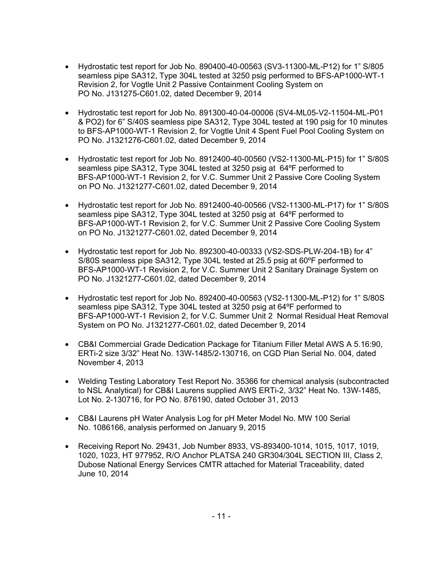- Hydrostatic test report for Job No. 890400-40-00563 (SV3-11300-ML-P12) for 1" S/805 seamless pipe SA312, Type 304L tested at 3250 psig performed to BFS-AP1000-WT-1 Revision 2, for Vogtle Unit 2 Passive Containment Cooling System on PO No. J131275-C601.02, dated December 9, 2014
- Hydrostatic test report for Job No. 891300-40-04-00006 (SV4-ML05-V2-11504-ML-P01 & PO2) for 6" S/40S seamless pipe SA312, Type 304L tested at 190 psig for 10 minutes to BFS-AP1000-WT-1 Revision 2, for Vogtle Unit 4 Spent Fuel Pool Cooling System on PO No. J1321276-C601.02, dated December 9, 2014
- Hydrostatic test report for Job No. 8912400-40-00560 (VS2-11300-ML-P15) for 1" S/80S seamless pipe SA312, Type 304L tested at 3250 psig at 64ºF performed to BFS-AP1000-WT-1 Revision 2, for V.C. Summer Unit 2 Passive Core Cooling System on PO No. J1321277-C601.02, dated December 9, 2014
- Hydrostatic test report for Job No. 8912400-40-00566 (VS2-11300-ML-P17) for 1" S/80S seamless pipe SA312, Type 304L tested at 3250 psig at 64ºF performed to BFS-AP1000-WT-1 Revision 2, for V.C. Summer Unit 2 Passive Core Cooling System on PO No. J1321277-C601.02, dated December 9, 2014
- Hydrostatic test report for Job No. 892300-40-00333 (VS2-SDS-PLW-204-1B) for 4" S/80S seamless pipe SA312, Type 304L tested at 25.5 psig at 60ºF performed to BFS-AP1000-WT-1 Revision 2, for V.C. Summer Unit 2 Sanitary Drainage System on PO No. J1321277-C601.02, dated December 9, 2014
- Hydrostatic test report for Job No. 892400-40-00563 (VS2-11300-ML-P12) for 1" S/80S seamless pipe SA312, Type 304L tested at 3250 psig at 64ºF performed to BFS-AP1000-WT-1 Revision 2, for V.C. Summer Unit 2 Normal Residual Heat Removal System on PO No. J1321277-C601.02, dated December 9, 2014
- CB&I Commercial Grade Dedication Package for Titanium Filler Metal AWS A 5.16:90, ERTi-2 size 3/32" Heat No. 13W-1485/2-130716, on CGD Plan Serial No. 004, dated November 4, 2013
- Welding Testing Laboratory Test Report No. 35366 for chemical analysis (subcontracted to NSL Analytical) for CB&I Laurens supplied AWS ERTi-2, 3/32" Heat No. 13W-1485, Lot No. 2-130716, for PO No. 876190, dated October 31, 2013
- CB&I Laurens pH Water Analysis Log for pH Meter Model No. MW 100 Serial No. 1086166, analysis performed on January 9, 2015
- Receiving Report No. 29431, Job Number 8933, VS-893400-1014, 1015, 1017, 1019, 1020, 1023, HT 977952, R/O Anchor PLATSA 240 GR304/304L SECTION III, Class 2, Dubose National Energy Services CMTR attached for Material Traceability, dated June 10, 2014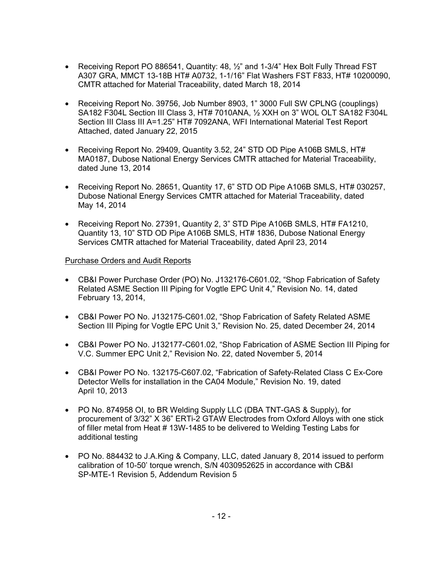- Receiving Report PO 886541, Quantity: 48,  $\frac{1}{2}$  and 1-3/4" Hex Bolt Fully Thread FST A307 GRA, MMCT 13-18B HT# A0732, 1-1/16" Flat Washers FST F833, HT# 10200090, CMTR attached for Material Traceability, dated March 18, 2014
- Receiving Report No. 39756, Job Number 8903, 1" 3000 Full SW CPLNG (couplings) SA182 F304L Section III Class 3, HT# 7010ANA, ½ XXH on 3" WOL OLT SA182 F304L Section III Class III A=1.25" HT# 7092ANA, WFI International Material Test Report Attached, dated January 22, 2015
- Receiving Report No. 29409, Quantity 3.52, 24" STD OD Pipe A106B SMLS, HT# MA0187, Dubose National Energy Services CMTR attached for Material Traceability, dated June 13, 2014
- Receiving Report No. 28651, Quantity 17, 6" STD OD Pipe A106B SMLS, HT# 030257, Dubose National Energy Services CMTR attached for Material Traceability, dated May 14, 2014
- Receiving Report No. 27391, Quantity 2, 3" STD Pipe A106B SMLS, HT# FA1210, Quantity 13, 10" STD OD Pipe A106B SMLS, HT# 1836, Dubose National Energy Services CMTR attached for Material Traceability, dated April 23, 2014

## Purchase Orders and Audit Reports

- CB&I Power Purchase Order (PO) No. J132176-C601.02, "Shop Fabrication of Safety Related ASME Section III Piping for Vogtle EPC Unit 4," Revision No. 14, dated February 13, 2014,
- CB&I Power PO No. J132175-C601.02, "Shop Fabrication of Safety Related ASME Section III Piping for Vogtle EPC Unit 3," Revision No. 25, dated December 24, 2014
- CB&I Power PO No. J132177-C601.02, "Shop Fabrication of ASME Section III Piping for V.C. Summer EPC Unit 2," Revision No. 22, dated November 5, 2014
- CB&I Power PO No. 132175-C607.02, "Fabrication of Safety-Related Class C Ex-Core Detector Wells for installation in the CA04 Module," Revision No. 19, dated April 10, 2013
- PO No. 874958 OI, to BR Welding Supply LLC (DBA TNT-GAS & Supply), for procurement of 3/32" X 36" ERTi-2 GTAW Electrodes from Oxford Alloys with one stick of filler metal from Heat # 13W-1485 to be delivered to Welding Testing Labs for additional testing
- PO No. 884432 to J.A.King & Company, LLC, dated January 8, 2014 issued to perform calibration of 10-50' torque wrench, S/N 4030952625 in accordance with CB&I SP-MTE-1 Revision 5, Addendum Revision 5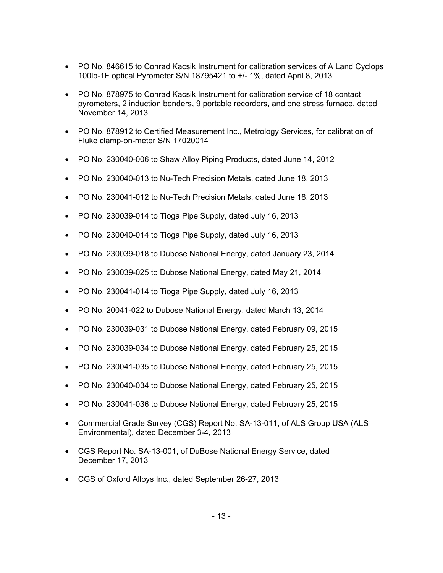- PO No. 846615 to Conrad Kacsik Instrument for calibration services of A Land Cyclops 100lb-1F optical Pyrometer S/N 18795421 to +/- 1%, dated April 8, 2013
- PO No. 878975 to Conrad Kacsik Instrument for calibration service of 18 contact pyrometers, 2 induction benders, 9 portable recorders, and one stress furnace, dated November 14, 2013
- PO No. 878912 to Certified Measurement Inc., Metrology Services, for calibration of Fluke clamp-on-meter S/N 17020014
- PO No. 230040-006 to Shaw Alloy Piping Products, dated June 14, 2012
- PO No. 230040-013 to Nu-Tech Precision Metals, dated June 18, 2013
- PO No. 230041-012 to Nu-Tech Precision Metals, dated June 18, 2013
- PO No. 230039-014 to Tioga Pipe Supply, dated July 16, 2013
- PO No. 230040-014 to Tioga Pipe Supply, dated July 16, 2013
- PO No. 230039-018 to Dubose National Energy, dated January 23, 2014
- PO No. 230039-025 to Dubose National Energy, dated May 21, 2014
- PO No. 230041-014 to Tioga Pipe Supply, dated July 16, 2013
- PO No. 20041-022 to Dubose National Energy, dated March 13, 2014
- PO No. 230039-031 to Dubose National Energy, dated February 09, 2015
- PO No. 230039-034 to Dubose National Energy, dated February 25, 2015
- PO No. 230041-035 to Dubose National Energy, dated February 25, 2015
- PO No. 230040-034 to Dubose National Energy, dated February 25, 2015
- PO No. 230041-036 to Dubose National Energy, dated February 25, 2015
- Commercial Grade Survey (CGS) Report No. SA-13-011, of ALS Group USA (ALS Environmental), dated December 3-4, 2013
- CGS Report No. SA-13-001, of DuBose National Energy Service, dated December 17, 2013
- CGS of Oxford Alloys Inc., dated September 26-27, 2013